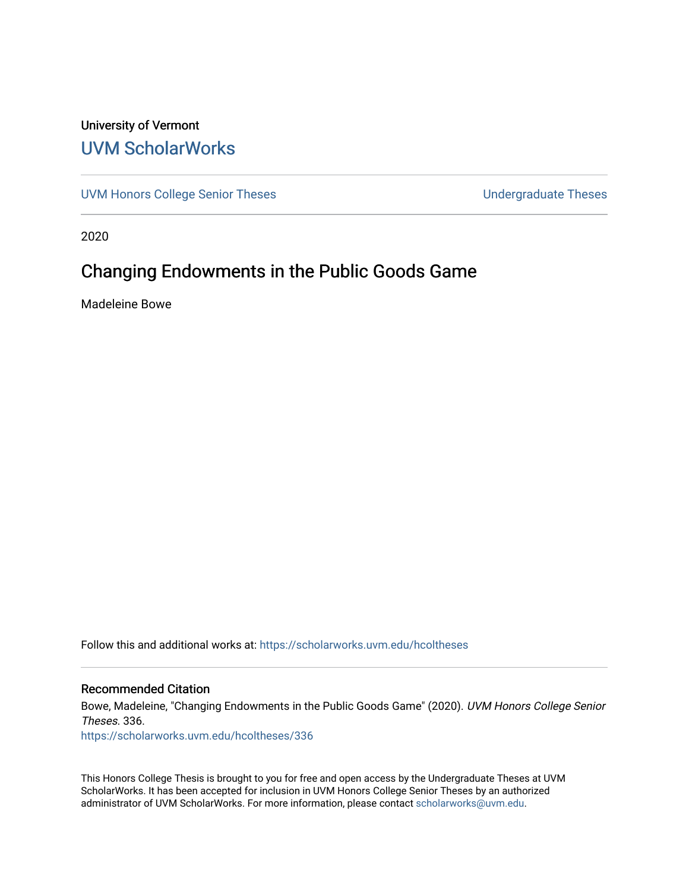## University of Vermont [UVM ScholarWorks](https://scholarworks.uvm.edu/)

[UVM Honors College Senior Theses](https://scholarworks.uvm.edu/hcoltheses) **Exercise Sension** Undergraduate Theses

2020

## Changing Endowments in the Public Goods Game

Madeleine Bowe

Follow this and additional works at: [https://scholarworks.uvm.edu/hcoltheses](https://scholarworks.uvm.edu/hcoltheses?utm_source=scholarworks.uvm.edu%2Fhcoltheses%2F336&utm_medium=PDF&utm_campaign=PDFCoverPages) 

#### Recommended Citation

Bowe, Madeleine, "Changing Endowments in the Public Goods Game" (2020). UVM Honors College Senior Theses. 336.

[https://scholarworks.uvm.edu/hcoltheses/336](https://scholarworks.uvm.edu/hcoltheses/336?utm_source=scholarworks.uvm.edu%2Fhcoltheses%2F336&utm_medium=PDF&utm_campaign=PDFCoverPages) 

This Honors College Thesis is brought to you for free and open access by the Undergraduate Theses at UVM ScholarWorks. It has been accepted for inclusion in UVM Honors College Senior Theses by an authorized administrator of UVM ScholarWorks. For more information, please contact [scholarworks@uvm.edu](mailto:scholarworks@uvm.edu).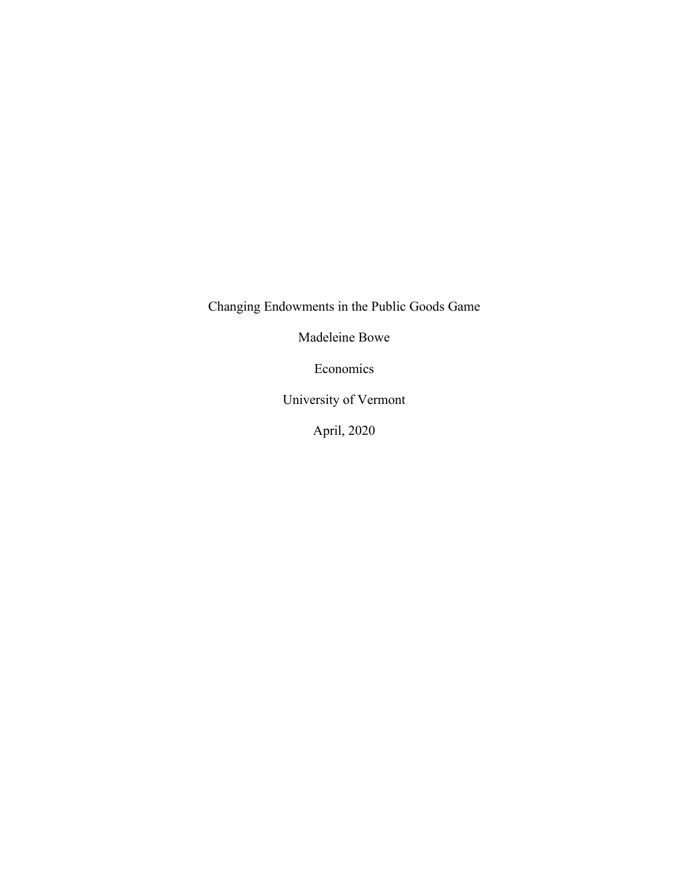Changing Endowments in the Public Goods Game

Madeleine Bowe

Economics

University of Vermont

April, 2020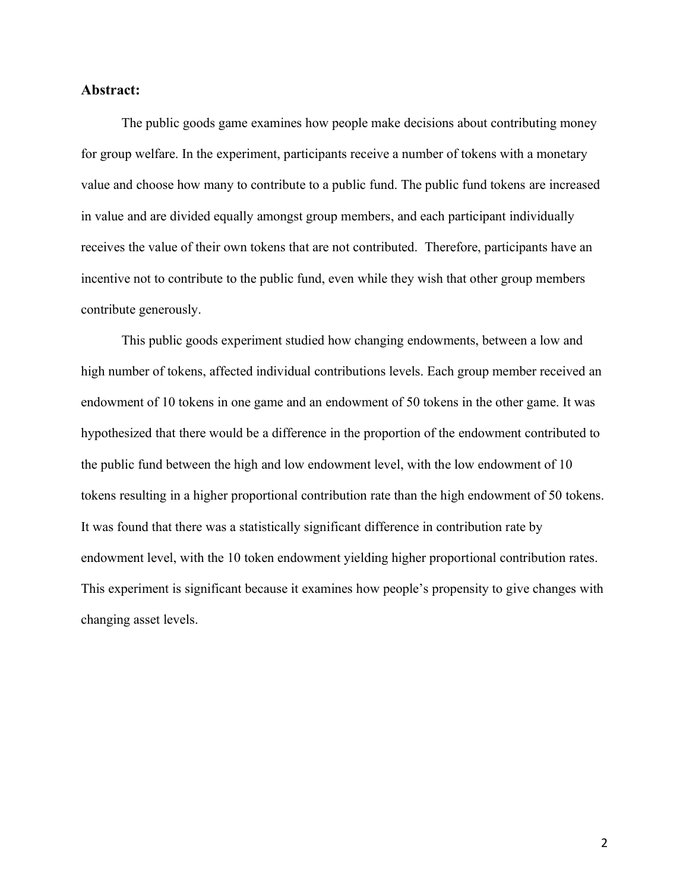#### **Abstract:**

The public goods game examines how people make decisions about contributing money for group welfare. In the experiment, participants receive a number of tokens with a monetary value and choose how many to contribute to a public fund. The public fund tokens are increased in value and are divided equally amongst group members, and each participant individually receives the value of their own tokens that are not contributed. Therefore, participants have an incentive not to contribute to the public fund, even while they wish that other group members contribute generously.

This public goods experiment studied how changing endowments, between a low and high number of tokens, affected individual contributions levels. Each group member received an endowment of 10 tokens in one game and an endowment of 50 tokens in the other game. It was hypothesized that there would be a difference in the proportion of the endowment contributed to the public fund between the high and low endowment level, with the low endowment of 10 tokens resulting in a higher proportional contribution rate than the high endowment of 50 tokens. It was found that there was a statistically significant difference in contribution rate by endowment level, with the 10 token endowment yielding higher proportional contribution rates. This experiment is significant because it examines how people's propensity to give changes with changing asset levels.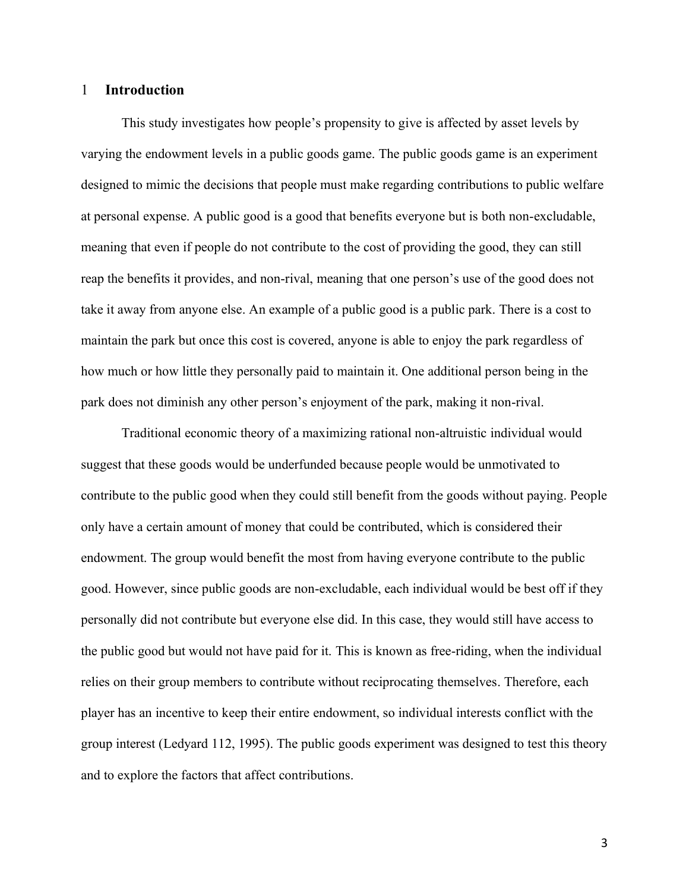#### 1 **Introduction**

This study investigates how people's propensity to give is affected by asset levels by varying the endowment levels in a public goods game. The public goods game is an experiment designed to mimic the decisions that people must make regarding contributions to public welfare at personal expense. A public good is a good that benefits everyone but is both non-excludable, meaning that even if people do not contribute to the cost of providing the good, they can still reap the benefits it provides, and non-rival, meaning that one person's use of the good does not take it away from anyone else. An example of a public good is a public park. There is a cost to maintain the park but once this cost is covered, anyone is able to enjoy the park regardless of how much or how little they personally paid to maintain it. One additional person being in the park does not diminish any other person's enjoyment of the park, making it non-rival.

Traditional economic theory of a maximizing rational non-altruistic individual would suggest that these goods would be underfunded because people would be unmotivated to contribute to the public good when they could still benefit from the goods without paying. People only have a certain amount of money that could be contributed, which is considered their endowment. The group would benefit the most from having everyone contribute to the public good. However, since public goods are non-excludable, each individual would be best off if they personally did not contribute but everyone else did. In this case, they would still have access to the public good but would not have paid for it. This is known as free-riding, when the individual relies on their group members to contribute without reciprocating themselves. Therefore, each player has an incentive to keep their entire endowment, so individual interests conflict with the group interest (Ledyard 112, 1995). The public goods experiment was designed to test this theory and to explore the factors that affect contributions.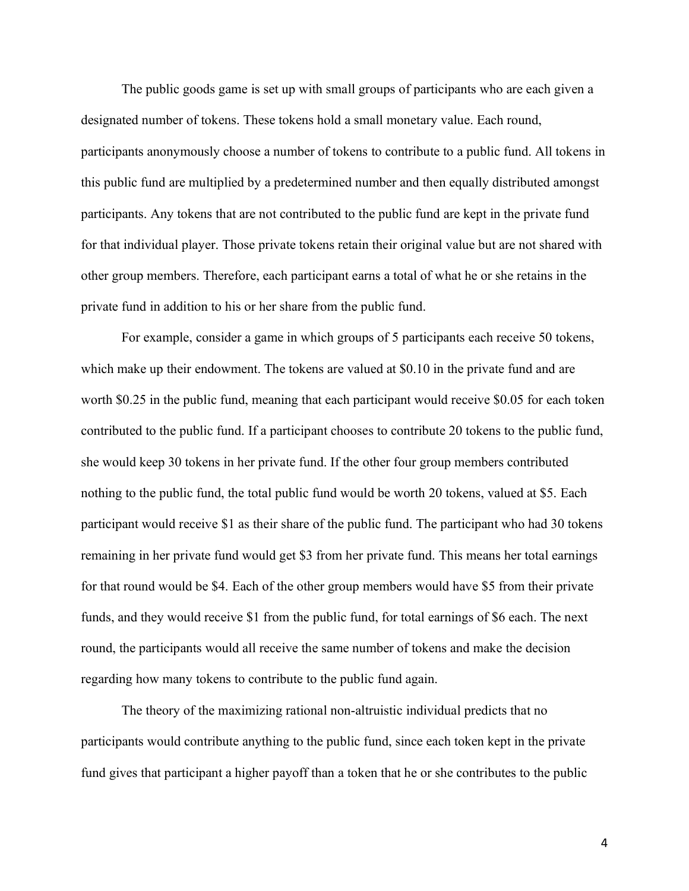The public goods game is set up with small groups of participants who are each given a designated number of tokens. These tokens hold a small monetary value. Each round, participants anonymously choose a number of tokens to contribute to a public fund. All tokens in this public fund are multiplied by a predetermined number and then equally distributed amongst participants. Any tokens that are not contributed to the public fund are kept in the private fund for that individual player. Those private tokens retain their original value but are not shared with other group members. Therefore, each participant earns a total of what he or she retains in the private fund in addition to his or her share from the public fund.

For example, consider a game in which groups of 5 participants each receive 50 tokens, which make up their endowment. The tokens are valued at \$0.10 in the private fund and are worth \$0.25 in the public fund, meaning that each participant would receive \$0.05 for each token contributed to the public fund. If a participant chooses to contribute 20 tokens to the public fund, she would keep 30 tokens in her private fund. If the other four group members contributed nothing to the public fund, the total public fund would be worth 20 tokens, valued at \$5. Each participant would receive \$1 as their share of the public fund. The participant who had 30 tokens remaining in her private fund would get \$3 from her private fund. This means her total earnings for that round would be \$4. Each of the other group members would have \$5 from their private funds, and they would receive \$1 from the public fund, for total earnings of \$6 each. The next round, the participants would all receive the same number of tokens and make the decision regarding how many tokens to contribute to the public fund again.

The theory of the maximizing rational non-altruistic individual predicts that no participants would contribute anything to the public fund, since each token kept in the private fund gives that participant a higher payoff than a token that he or she contributes to the public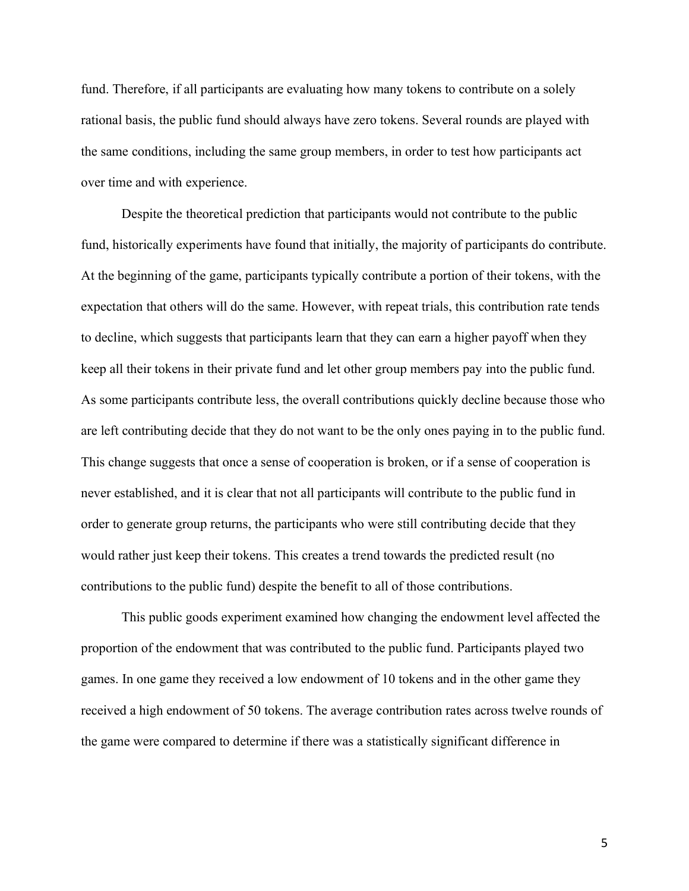fund. Therefore, if all participants are evaluating how many tokens to contribute on a solely rational basis, the public fund should always have zero tokens. Several rounds are played with the same conditions, including the same group members, in order to test how participants act over time and with experience.

Despite the theoretical prediction that participants would not contribute to the public fund, historically experiments have found that initially, the majority of participants do contribute. At the beginning of the game, participants typically contribute a portion of their tokens, with the expectation that others will do the same. However, with repeat trials, this contribution rate tends to decline, which suggests that participants learn that they can earn a higher payoff when they keep all their tokens in their private fund and let other group members pay into the public fund. As some participants contribute less, the overall contributions quickly decline because those who are left contributing decide that they do not want to be the only ones paying in to the public fund. This change suggests that once a sense of cooperation is broken, or if a sense of cooperation is never established, and it is clear that not all participants will contribute to the public fund in order to generate group returns, the participants who were still contributing decide that they would rather just keep their tokens. This creates a trend towards the predicted result (no contributions to the public fund) despite the benefit to all of those contributions.

This public goods experiment examined how changing the endowment level affected the proportion of the endowment that was contributed to the public fund. Participants played two games. In one game they received a low endowment of 10 tokens and in the other game they received a high endowment of 50 tokens. The average contribution rates across twelve rounds of the game were compared to determine if there was a statistically significant difference in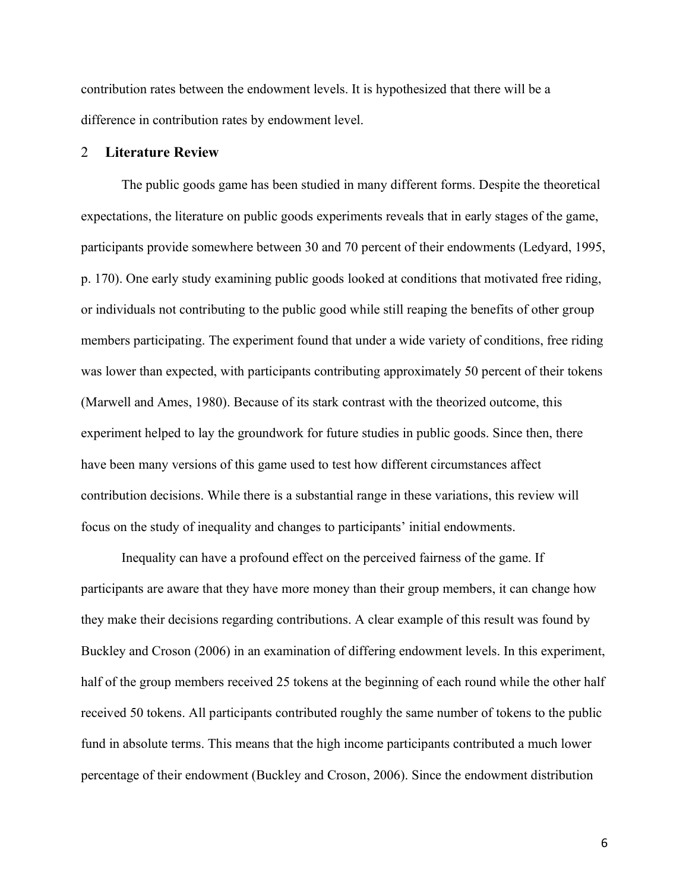contribution rates between the endowment levels. It is hypothesized that there will be a difference in contribution rates by endowment level.

#### 2 **Literature Review**

The public goods game has been studied in many different forms. Despite the theoretical expectations, the literature on public goods experiments reveals that in early stages of the game, participants provide somewhere between 30 and 70 percent of their endowments (Ledyard, 1995, p. 170). One early study examining public goods looked at conditions that motivated free riding, or individuals not contributing to the public good while still reaping the benefits of other group members participating. The experiment found that under a wide variety of conditions, free riding was lower than expected, with participants contributing approximately 50 percent of their tokens (Marwell and Ames, 1980). Because of its stark contrast with the theorized outcome, this experiment helped to lay the groundwork for future studies in public goods. Since then, there have been many versions of this game used to test how different circumstances affect contribution decisions. While there is a substantial range in these variations, this review will focus on the study of inequality and changes to participants' initial endowments.

Inequality can have a profound effect on the perceived fairness of the game. If participants are aware that they have more money than their group members, it can change how they make their decisions regarding contributions. A clear example of this result was found by Buckley and Croson (2006) in an examination of differing endowment levels. In this experiment, half of the group members received 25 tokens at the beginning of each round while the other half received 50 tokens. All participants contributed roughly the same number of tokens to the public fund in absolute terms. This means that the high income participants contributed a much lower percentage of their endowment (Buckley and Croson, 2006). Since the endowment distribution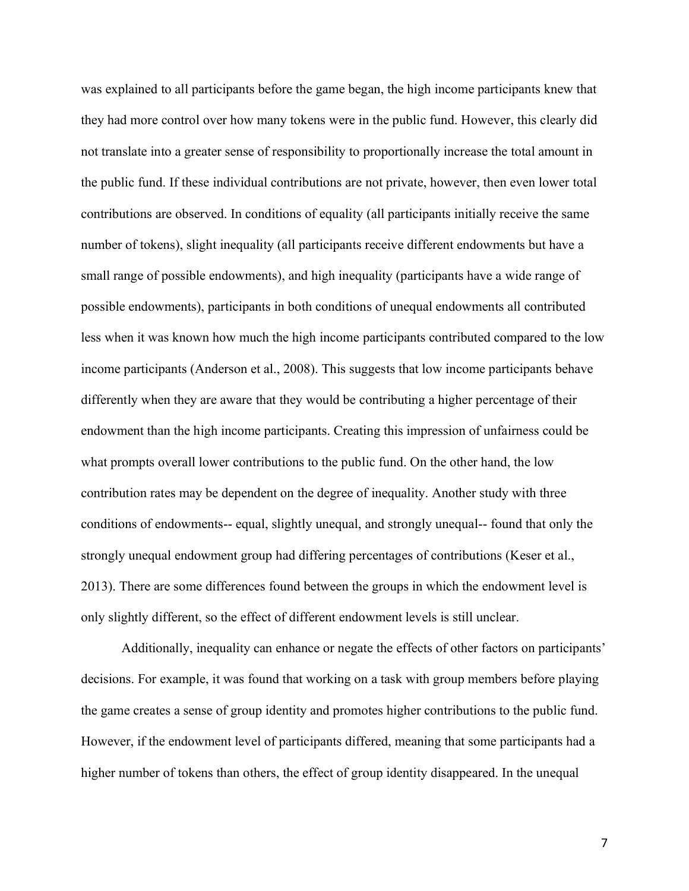was explained to all participants before the game began, the high income participants knew that they had more control over how many tokens were in the public fund. However, this clearly did not translate into a greater sense of responsibility to proportionally increase the total amount in the public fund. If these individual contributions are not private, however, then even lower total contributions are observed. In conditions of equality (all participants initially receive the same number of tokens), slight inequality (all participants receive different endowments but have a small range of possible endowments), and high inequality (participants have a wide range of possible endowments), participants in both conditions of unequal endowments all contributed less when it was known how much the high income participants contributed compared to the low income participants (Anderson et al., 2008). This suggests that low income participants behave differently when they are aware that they would be contributing a higher percentage of their endowment than the high income participants. Creating this impression of unfairness could be what prompts overall lower contributions to the public fund. On the other hand, the low contribution rates may be dependent on the degree of inequality. Another study with three conditions of endowments-- equal, slightly unequal, and strongly unequal-- found that only the strongly unequal endowment group had differing percentages of contributions (Keser et al., 2013). There are some differences found between the groups in which the endowment level is only slightly different, so the effect of different endowment levels is still unclear.

Additionally, inequality can enhance or negate the effects of other factors on participants' decisions. For example, it was found that working on a task with group members before playing the game creates a sense of group identity and promotes higher contributions to the public fund. However, if the endowment level of participants differed, meaning that some participants had a higher number of tokens than others, the effect of group identity disappeared. In the unequal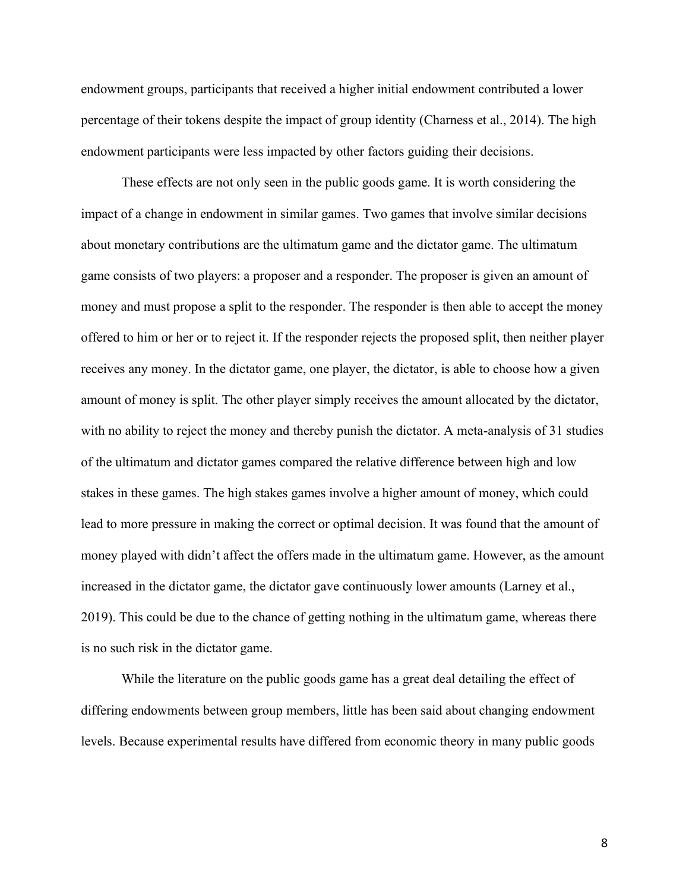endowment groups, participants that received a higher initial endowment contributed a lower percentage of their tokens despite the impact of group identity (Charness et al., 2014). The high endowment participants were less impacted by other factors guiding their decisions.

These effects are not only seen in the public goods game. It is worth considering the impact of a change in endowment in similar games. Two games that involve similar decisions about monetary contributions are the ultimatum game and the dictator game. The ultimatum game consists of two players: a proposer and a responder. The proposer is given an amount of money and must propose a split to the responder. The responder is then able to accept the money offered to him or her or to reject it. If the responder rejects the proposed split, then neither player receives any money. In the dictator game, one player, the dictator, is able to choose how a given amount of money is split. The other player simply receives the amount allocated by the dictator, with no ability to reject the money and thereby punish the dictator. A meta-analysis of 31 studies of the ultimatum and dictator games compared the relative difference between high and low stakes in these games. The high stakes games involve a higher amount of money, which could lead to more pressure in making the correct or optimal decision. It was found that the amount of money played with didn't affect the offers made in the ultimatum game. However, as the amount increased in the dictator game, the dictator gave continuously lower amounts (Larney et al., 2019). This could be due to the chance of getting nothing in the ultimatum game, whereas there is no such risk in the dictator game.

While the literature on the public goods game has a great deal detailing the effect of differing endowments between group members, little has been said about changing endowment levels. Because experimental results have differed from economic theory in many public goods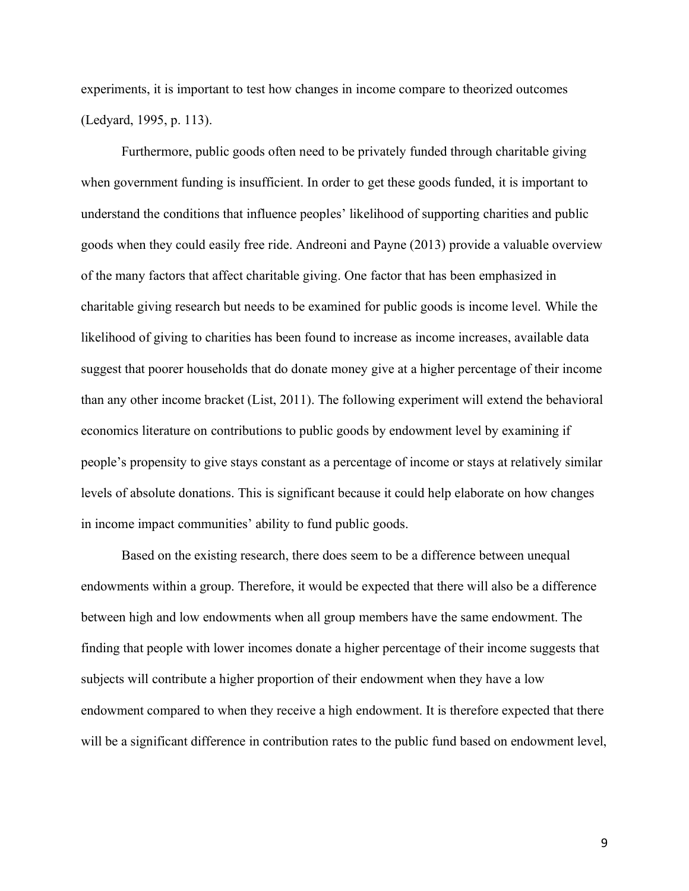experiments, it is important to test how changes in income compare to theorized outcomes (Ledyard, 1995, p. 113).

Furthermore, public goods often need to be privately funded through charitable giving when government funding is insufficient. In order to get these goods funded, it is important to understand the conditions that influence peoples' likelihood of supporting charities and public goods when they could easily free ride. Andreoni and Payne (2013) provide a valuable overview of the many factors that affect charitable giving. One factor that has been emphasized in charitable giving research but needs to be examined for public goods is income level. While the likelihood of giving to charities has been found to increase as income increases, available data suggest that poorer households that do donate money give at a higher percentage of their income than any other income bracket (List, 2011). The following experiment will extend the behavioral economics literature on contributions to public goods by endowment level by examining if people's propensity to give stays constant as a percentage of income or stays at relatively similar levels of absolute donations. This is significant because it could help elaborate on how changes in income impact communities' ability to fund public goods.

Based on the existing research, there does seem to be a difference between unequal endowments within a group. Therefore, it would be expected that there will also be a difference between high and low endowments when all group members have the same endowment. The finding that people with lower incomes donate a higher percentage of their income suggests that subjects will contribute a higher proportion of their endowment when they have a low endowment compared to when they receive a high endowment. It is therefore expected that there will be a significant difference in contribution rates to the public fund based on endowment level,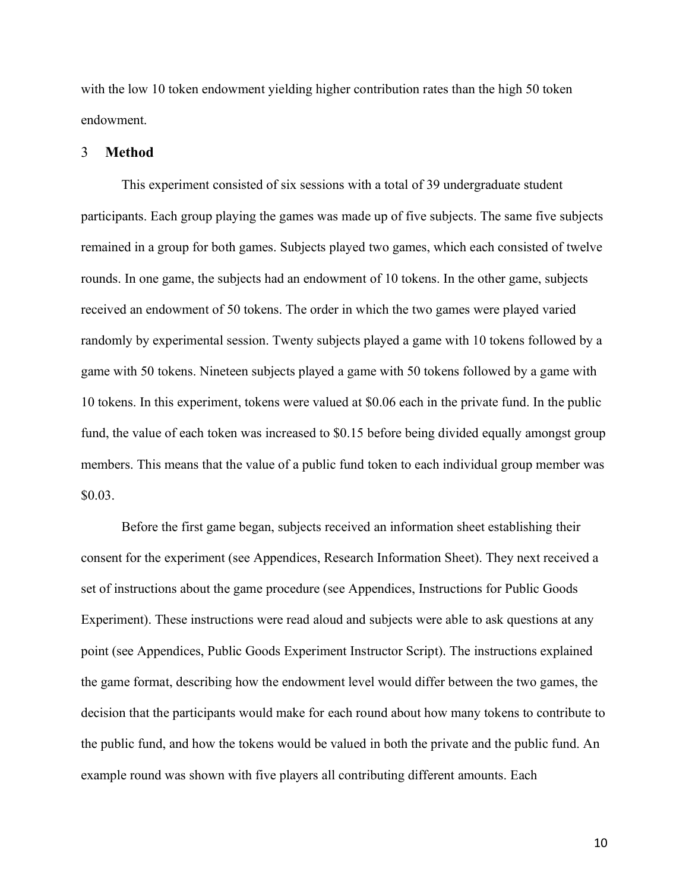with the low 10 token endowment yielding higher contribution rates than the high 50 token endowment.

#### 3 **Method**

This experiment consisted of six sessions with a total of 39 undergraduate student participants. Each group playing the games was made up of five subjects. The same five subjects remained in a group for both games. Subjects played two games, which each consisted of twelve rounds. In one game, the subjects had an endowment of 10 tokens. In the other game, subjects received an endowment of 50 tokens. The order in which the two games were played varied randomly by experimental session. Twenty subjects played a game with 10 tokens followed by a game with 50 tokens. Nineteen subjects played a game with 50 tokens followed by a game with 10 tokens. In this experiment, tokens were valued at \$0.06 each in the private fund. In the public fund, the value of each token was increased to \$0.15 before being divided equally amongst group members. This means that the value of a public fund token to each individual group member was \$0.03.

Before the first game began, subjects received an information sheet establishing their consent for the experiment (see Appendices, Research Information Sheet). They next received a set of instructions about the game procedure (see Appendices, Instructions for Public Goods Experiment). These instructions were read aloud and subjects were able to ask questions at any point (see Appendices, Public Goods Experiment Instructor Script). The instructions explained the game format, describing how the endowment level would differ between the two games, the decision that the participants would make for each round about how many tokens to contribute to the public fund, and how the tokens would be valued in both the private and the public fund. An example round was shown with five players all contributing different amounts. Each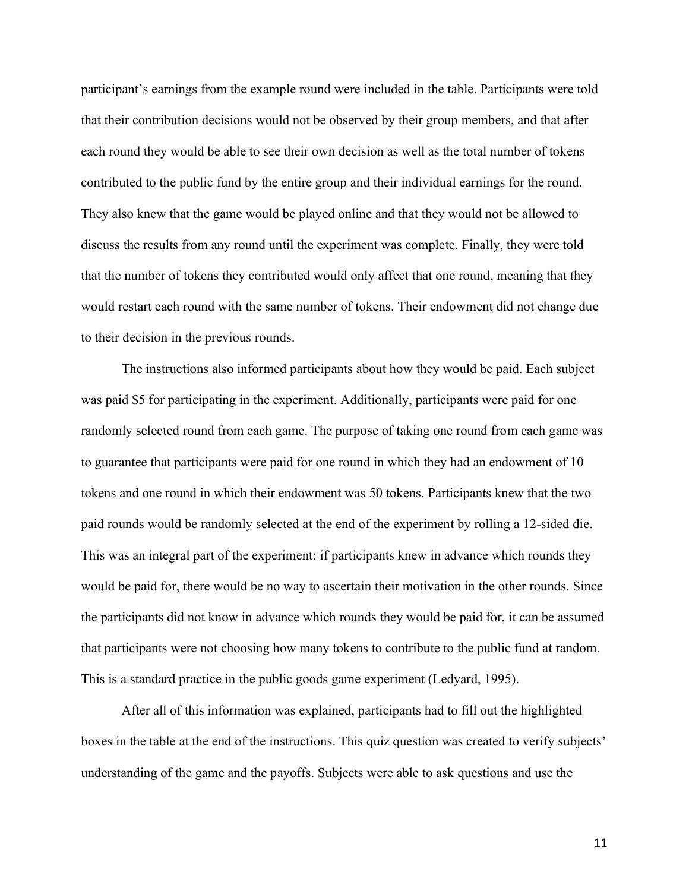participant's earnings from the example round were included in the table. Participants were told that their contribution decisions would not be observed by their group members, and that after each round they would be able to see their own decision as well as the total number of tokens contributed to the public fund by the entire group and their individual earnings for the round. They also knew that the game would be played online and that they would not be allowed to discuss the results from any round until the experiment was complete. Finally, they were told that the number of tokens they contributed would only affect that one round, meaning that they would restart each round with the same number of tokens. Their endowment did not change due to their decision in the previous rounds.

The instructions also informed participants about how they would be paid. Each subject was paid \$5 for participating in the experiment. Additionally, participants were paid for one randomly selected round from each game. The purpose of taking one round from each game was to guarantee that participants were paid for one round in which they had an endowment of 10 tokens and one round in which their endowment was 50 tokens. Participants knew that the two paid rounds would be randomly selected at the end of the experiment by rolling a 12-sided die. This was an integral part of the experiment: if participants knew in advance which rounds they would be paid for, there would be no way to ascertain their motivation in the other rounds. Since the participants did not know in advance which rounds they would be paid for, it can be assumed that participants were not choosing how many tokens to contribute to the public fund at random. This is a standard practice in the public goods game experiment (Ledyard, 1995).

After all of this information was explained, participants had to fill out the highlighted boxes in the table at the end of the instructions. This quiz question was created to verify subjects' understanding of the game and the payoffs. Subjects were able to ask questions and use the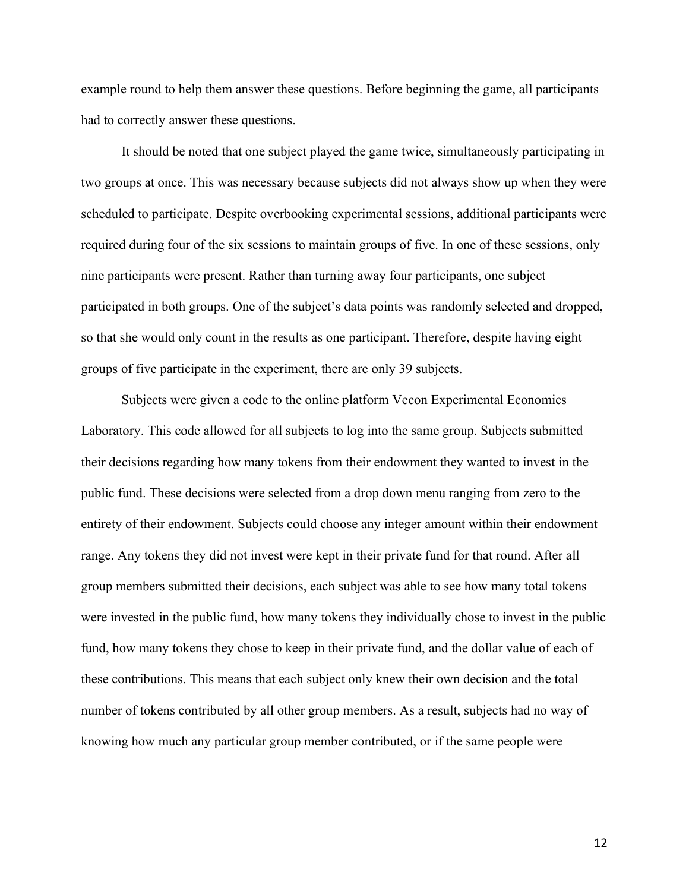example round to help them answer these questions. Before beginning the game, all participants had to correctly answer these questions.

It should be noted that one subject played the game twice, simultaneously participating in two groups at once. This was necessary because subjects did not always show up when they were scheduled to participate. Despite overbooking experimental sessions, additional participants were required during four of the six sessions to maintain groups of five. In one of these sessions, only nine participants were present. Rather than turning away four participants, one subject participated in both groups. One of the subject's data points was randomly selected and dropped, so that she would only count in the results as one participant. Therefore, despite having eight groups of five participate in the experiment, there are only 39 subjects.

Subjects were given a code to the online platform Vecon Experimental Economics Laboratory. This code allowed for all subjects to log into the same group. Subjects submitted their decisions regarding how many tokens from their endowment they wanted to invest in the public fund. These decisions were selected from a drop down menu ranging from zero to the entirety of their endowment. Subjects could choose any integer amount within their endowment range. Any tokens they did not invest were kept in their private fund for that round. After all group members submitted their decisions, each subject was able to see how many total tokens were invested in the public fund, how many tokens they individually chose to invest in the public fund, how many tokens they chose to keep in their private fund, and the dollar value of each of these contributions. This means that each subject only knew their own decision and the total number of tokens contributed by all other group members. As a result, subjects had no way of knowing how much any particular group member contributed, or if the same people were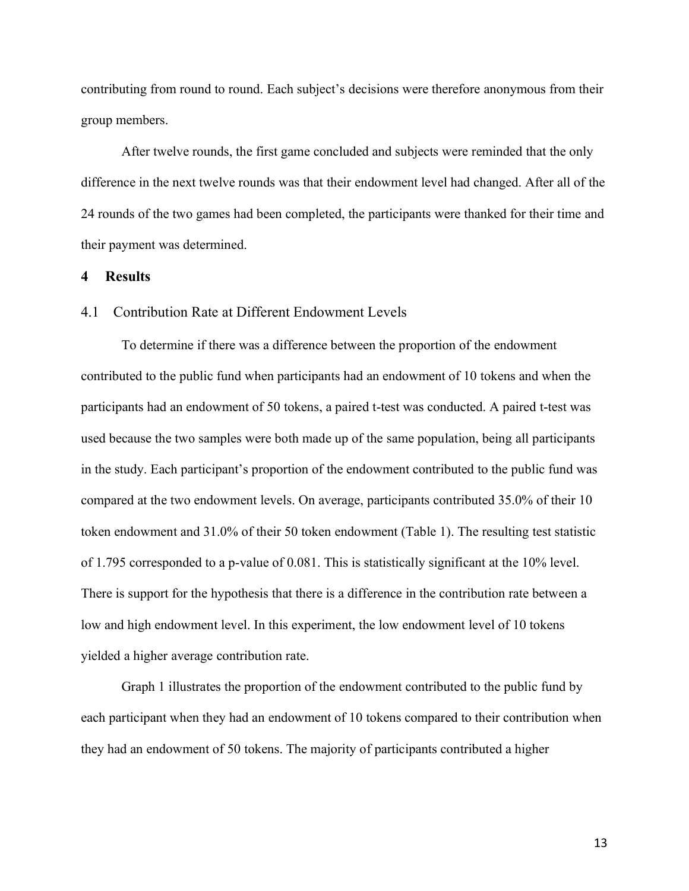contributing from round to round. Each subject's decisions were therefore anonymous from their group members.

After twelve rounds, the first game concluded and subjects were reminded that the only difference in the next twelve rounds was that their endowment level had changed. After all of the 24 rounds of the two games had been completed, the participants were thanked for their time and their payment was determined.

#### **4 Results**

#### 4.1 Contribution Rate at Different Endowment Levels

To determine if there was a difference between the proportion of the endowment contributed to the public fund when participants had an endowment of 10 tokens and when the participants had an endowment of 50 tokens, a paired t-test was conducted. A paired t-test was used because the two samples were both made up of the same population, being all participants in the study. Each participant's proportion of the endowment contributed to the public fund was compared at the two endowment levels. On average, participants contributed 35.0% of their 10 token endowment and 31.0% of their 50 token endowment (Table 1). The resulting test statistic of 1.795 corresponded to a p-value of 0.081. This is statistically significant at the 10% level. There is support for the hypothesis that there is a difference in the contribution rate between a low and high endowment level. In this experiment, the low endowment level of 10 tokens yielded a higher average contribution rate.

Graph 1 illustrates the proportion of the endowment contributed to the public fund by each participant when they had an endowment of 10 tokens compared to their contribution when they had an endowment of 50 tokens. The majority of participants contributed a higher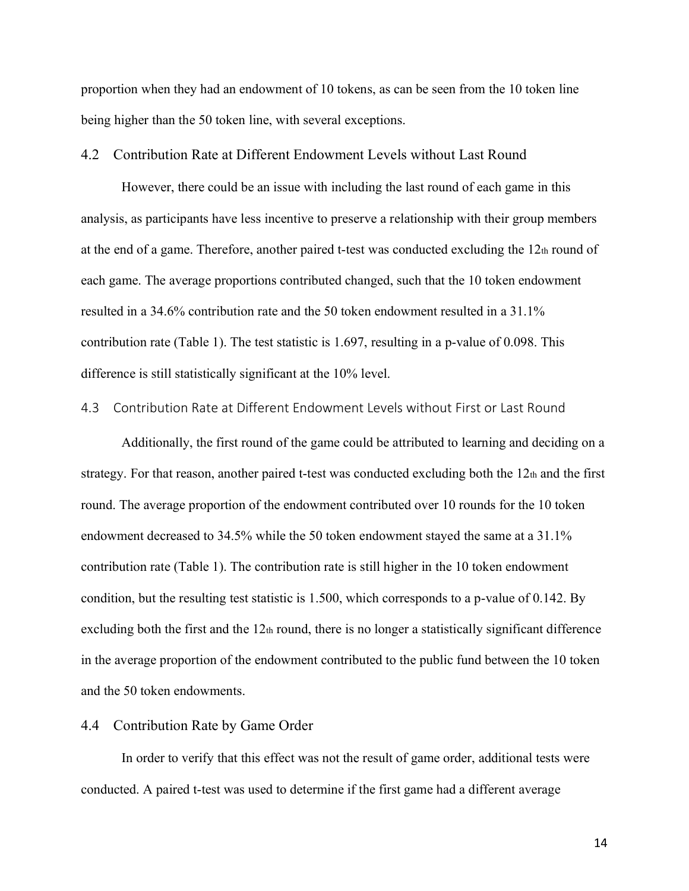proportion when they had an endowment of 10 tokens, as can be seen from the 10 token line being higher than the 50 token line, with several exceptions.

#### 4.2 Contribution Rate at Different Endowment Levels without Last Round

However, there could be an issue with including the last round of each game in this analysis, as participants have less incentive to preserve a relationship with their group members at the end of a game. Therefore, another paired t-test was conducted excluding the  $12<sub>th</sub>$  round of each game. The average proportions contributed changed, such that the 10 token endowment resulted in a 34.6% contribution rate and the 50 token endowment resulted in a 31.1% contribution rate (Table 1). The test statistic is 1.697, resulting in a p-value of 0.098. This difference is still statistically significant at the 10% level.

#### 4.3 Contribution Rate at Different Endowment Levels without First or Last Round

Additionally, the first round of the game could be attributed to learning and deciding on a strategy. For that reason, another paired t-test was conducted excluding both the 12th and the first round. The average proportion of the endowment contributed over 10 rounds for the 10 token endowment decreased to 34.5% while the 50 token endowment stayed the same at a 31.1% contribution rate (Table 1). The contribution rate is still higher in the 10 token endowment condition, but the resulting test statistic is 1.500, which corresponds to a p-value of 0.142. By excluding both the first and the  $12<sub>th</sub>$  round, there is no longer a statistically significant difference in the average proportion of the endowment contributed to the public fund between the 10 token and the 50 token endowments.

#### 4.4 Contribution Rate by Game Order

In order to verify that this effect was not the result of game order, additional tests were conducted. A paired t-test was used to determine if the first game had a different average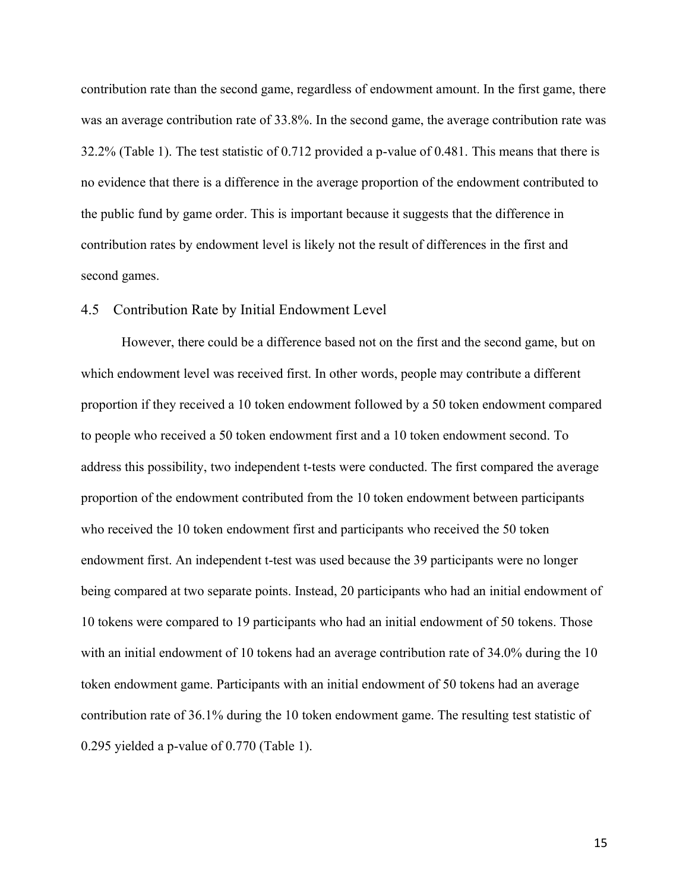contribution rate than the second game, regardless of endowment amount. In the first game, there was an average contribution rate of 33.8%. In the second game, the average contribution rate was 32.2% (Table 1). The test statistic of 0.712 provided a p-value of 0.481. This means that there is no evidence that there is a difference in the average proportion of the endowment contributed to the public fund by game order. This is important because it suggests that the difference in contribution rates by endowment level is likely not the result of differences in the first and second games.

#### 4.5 Contribution Rate by Initial Endowment Level

However, there could be a difference based not on the first and the second game, but on which endowment level was received first. In other words, people may contribute a different proportion if they received a 10 token endowment followed by a 50 token endowment compared to people who received a 50 token endowment first and a 10 token endowment second. To address this possibility, two independent t-tests were conducted. The first compared the average proportion of the endowment contributed from the 10 token endowment between participants who received the 10 token endowment first and participants who received the 50 token endowment first. An independent t-test was used because the 39 participants were no longer being compared at two separate points. Instead, 20 participants who had an initial endowment of 10 tokens were compared to 19 participants who had an initial endowment of 50 tokens. Those with an initial endowment of 10 tokens had an average contribution rate of 34.0% during the 10 token endowment game. Participants with an initial endowment of 50 tokens had an average contribution rate of 36.1% during the 10 token endowment game. The resulting test statistic of 0.295 yielded a p-value of 0.770 (Table 1).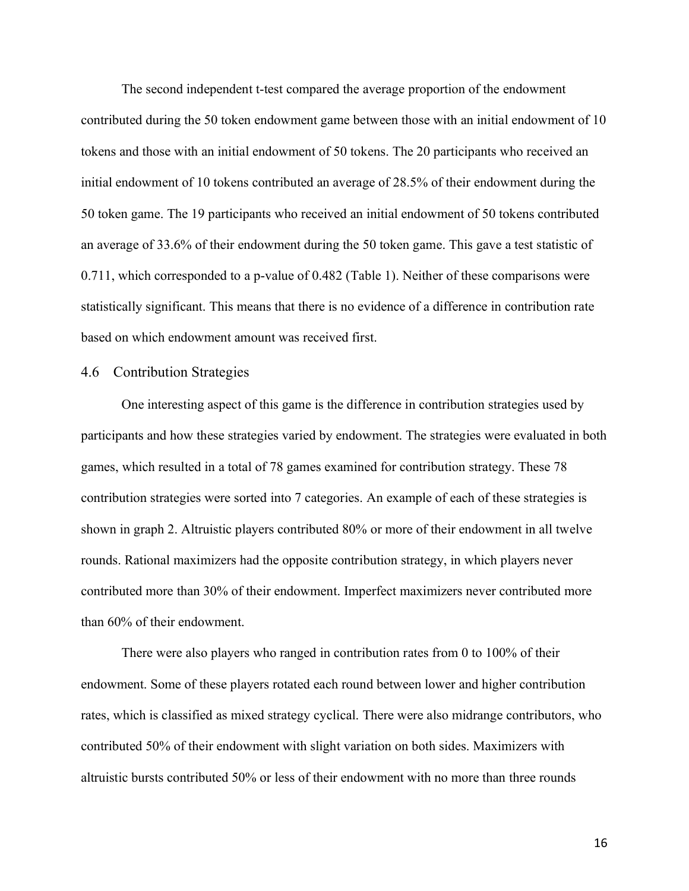The second independent t-test compared the average proportion of the endowment contributed during the 50 token endowment game between those with an initial endowment of 10 tokens and those with an initial endowment of 50 tokens. The 20 participants who received an initial endowment of 10 tokens contributed an average of 28.5% of their endowment during the 50 token game. The 19 participants who received an initial endowment of 50 tokens contributed an average of 33.6% of their endowment during the 50 token game. This gave a test statistic of 0.711, which corresponded to a p-value of 0.482 (Table 1). Neither of these comparisons were statistically significant. This means that there is no evidence of a difference in contribution rate based on which endowment amount was received first.

#### 4.6 Contribution Strategies

One interesting aspect of this game is the difference in contribution strategies used by participants and how these strategies varied by endowment. The strategies were evaluated in both games, which resulted in a total of 78 games examined for contribution strategy. These 78 contribution strategies were sorted into 7 categories. An example of each of these strategies is shown in graph 2. Altruistic players contributed 80% or more of their endowment in all twelve rounds. Rational maximizers had the opposite contribution strategy, in which players never contributed more than 30% of their endowment. Imperfect maximizers never contributed more than 60% of their endowment.

There were also players who ranged in contribution rates from 0 to 100% of their endowment. Some of these players rotated each round between lower and higher contribution rates, which is classified as mixed strategy cyclical. There were also midrange contributors, who contributed 50% of their endowment with slight variation on both sides. Maximizers with altruistic bursts contributed 50% or less of their endowment with no more than three rounds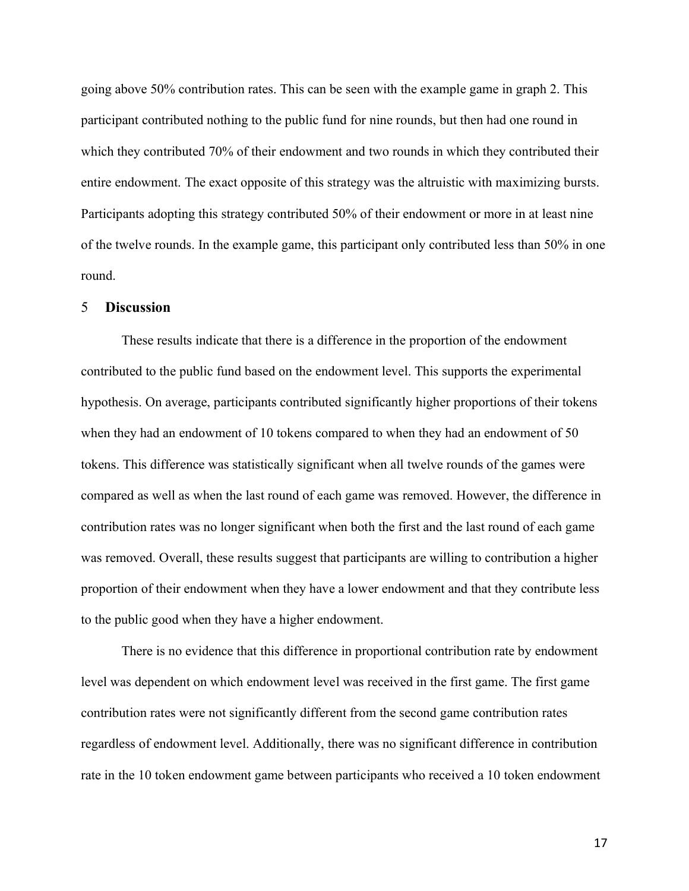going above 50% contribution rates. This can be seen with the example game in graph 2. This participant contributed nothing to the public fund for nine rounds, but then had one round in which they contributed 70% of their endowment and two rounds in which they contributed their entire endowment. The exact opposite of this strategy was the altruistic with maximizing bursts. Participants adopting this strategy contributed 50% of their endowment or more in at least nine of the twelve rounds. In the example game, this participant only contributed less than 50% in one round.

#### 5 **Discussion**

These results indicate that there is a difference in the proportion of the endowment contributed to the public fund based on the endowment level. This supports the experimental hypothesis. On average, participants contributed significantly higher proportions of their tokens when they had an endowment of 10 tokens compared to when they had an endowment of 50 tokens. This difference was statistically significant when all twelve rounds of the games were compared as well as when the last round of each game was removed. However, the difference in contribution rates was no longer significant when both the first and the last round of each game was removed. Overall, these results suggest that participants are willing to contribution a higher proportion of their endowment when they have a lower endowment and that they contribute less to the public good when they have a higher endowment.

There is no evidence that this difference in proportional contribution rate by endowment level was dependent on which endowment level was received in the first game. The first game contribution rates were not significantly different from the second game contribution rates regardless of endowment level. Additionally, there was no significant difference in contribution rate in the 10 token endowment game between participants who received a 10 token endowment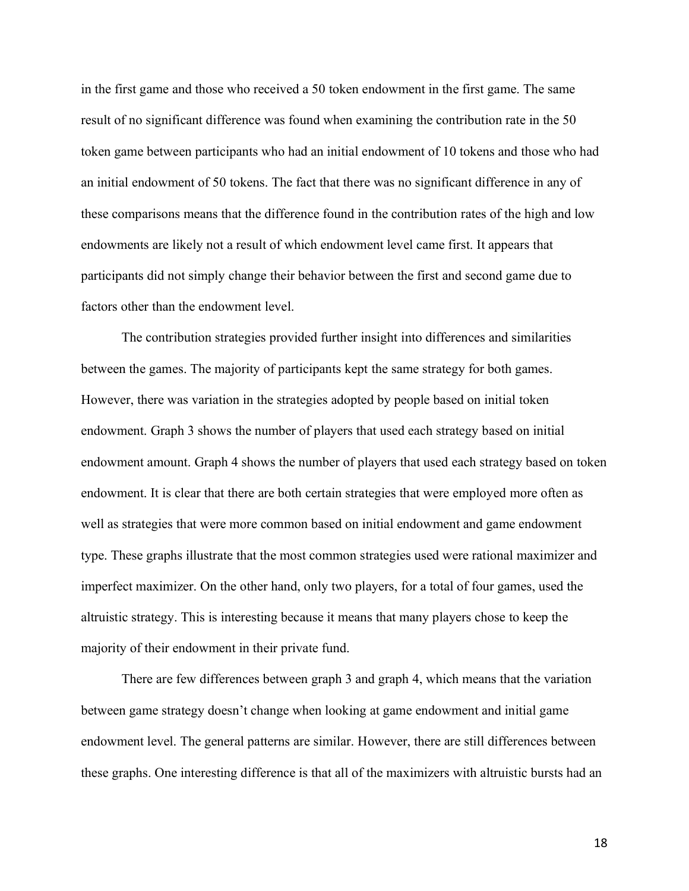in the first game and those who received a 50 token endowment in the first game. The same result of no significant difference was found when examining the contribution rate in the 50 token game between participants who had an initial endowment of 10 tokens and those who had an initial endowment of 50 tokens. The fact that there was no significant difference in any of these comparisons means that the difference found in the contribution rates of the high and low endowments are likely not a result of which endowment level came first. It appears that participants did not simply change their behavior between the first and second game due to factors other than the endowment level.

The contribution strategies provided further insight into differences and similarities between the games. The majority of participants kept the same strategy for both games. However, there was variation in the strategies adopted by people based on initial token endowment. Graph 3 shows the number of players that used each strategy based on initial endowment amount. Graph 4 shows the number of players that used each strategy based on token endowment. It is clear that there are both certain strategies that were employed more often as well as strategies that were more common based on initial endowment and game endowment type. These graphs illustrate that the most common strategies used were rational maximizer and imperfect maximizer. On the other hand, only two players, for a total of four games, used the altruistic strategy. This is interesting because it means that many players chose to keep the majority of their endowment in their private fund.

There are few differences between graph 3 and graph 4, which means that the variation between game strategy doesn't change when looking at game endowment and initial game endowment level. The general patterns are similar. However, there are still differences between these graphs. One interesting difference is that all of the maximizers with altruistic bursts had an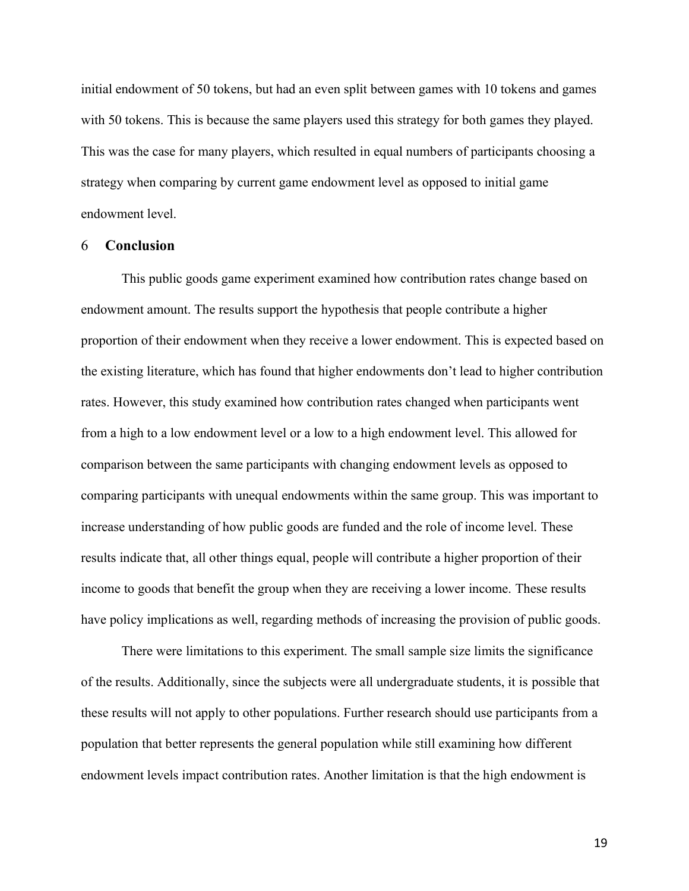initial endowment of 50 tokens, but had an even split between games with 10 tokens and games with 50 tokens. This is because the same players used this strategy for both games they played. This was the case for many players, which resulted in equal numbers of participants choosing a strategy when comparing by current game endowment level as opposed to initial game endowment level.

#### 6 **Conclusion**

This public goods game experiment examined how contribution rates change based on endowment amount. The results support the hypothesis that people contribute a higher proportion of their endowment when they receive a lower endowment. This is expected based on the existing literature, which has found that higher endowments don't lead to higher contribution rates. However, this study examined how contribution rates changed when participants went from a high to a low endowment level or a low to a high endowment level. This allowed for comparison between the same participants with changing endowment levels as opposed to comparing participants with unequal endowments within the same group. This was important to increase understanding of how public goods are funded and the role of income level. These results indicate that, all other things equal, people will contribute a higher proportion of their income to goods that benefit the group when they are receiving a lower income. These results have policy implications as well, regarding methods of increasing the provision of public goods.

There were limitations to this experiment. The small sample size limits the significance of the results. Additionally, since the subjects were all undergraduate students, it is possible that these results will not apply to other populations. Further research should use participants from a population that better represents the general population while still examining how different endowment levels impact contribution rates. Another limitation is that the high endowment is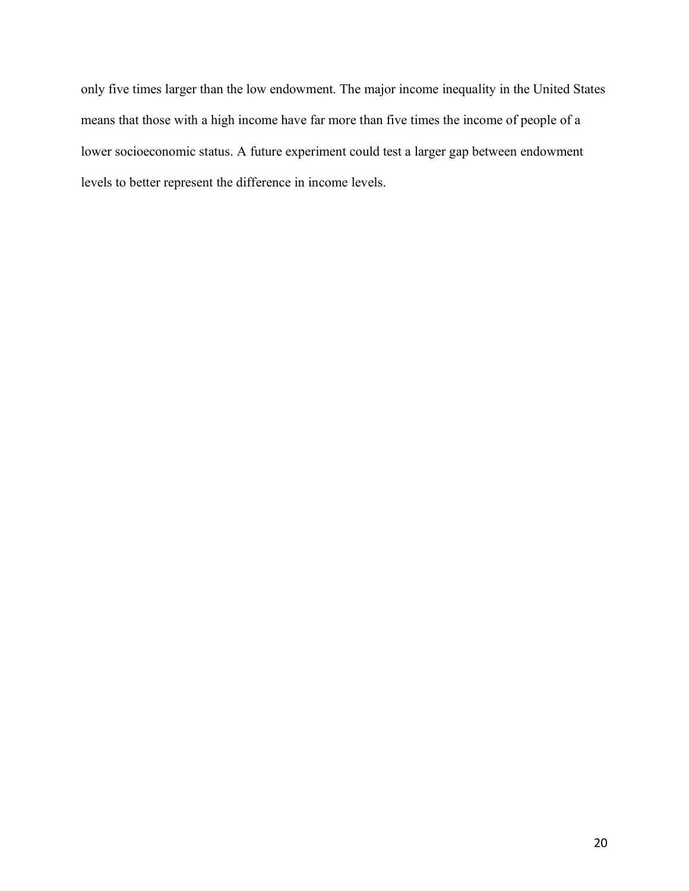only five times larger than the low endowment. The major income inequality in the United States means that those with a high income have far more than five times the income of people of a lower socioeconomic status. A future experiment could test a larger gap between endowment levels to better represent the difference in income levels.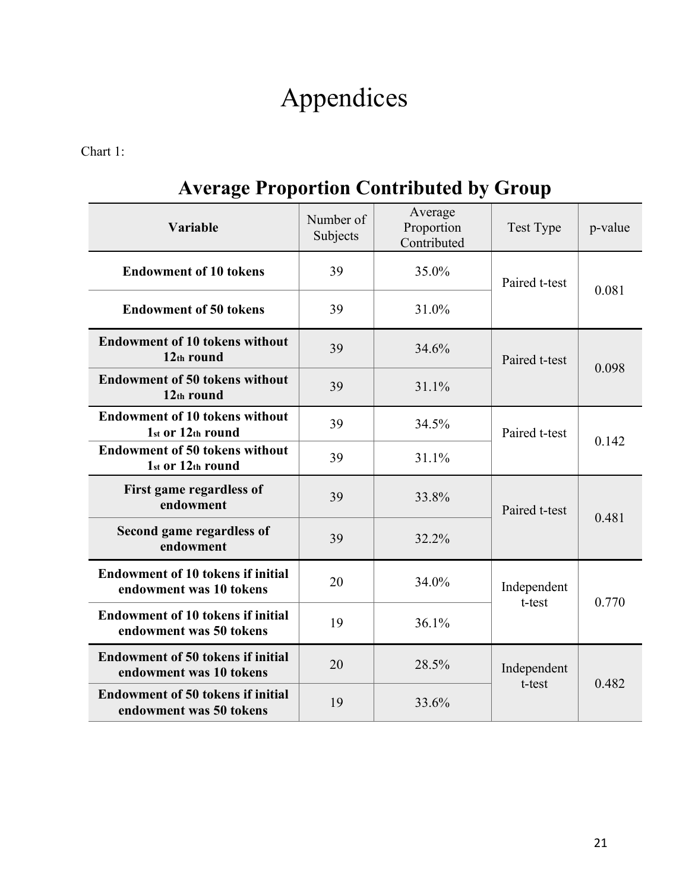# Appendices

Chart 1:

## **Average Proportion Contributed by Group**

| Variable                                                            | Number of<br>Subjects | Average<br>Proportion<br>Contributed | Test Type             | p-value |
|---------------------------------------------------------------------|-----------------------|--------------------------------------|-----------------------|---------|
| <b>Endowment of 10 tokens</b>                                       | 39                    | 35.0%                                | Paired t-test         | 0.081   |
| <b>Endowment of 50 tokens</b>                                       | 39                    | 31.0%                                |                       |         |
| <b>Endowment of 10 tokens without</b><br>12th round                 | 39                    | 34.6%                                | Paired t-test         | 0.098   |
| <b>Endowment of 50 tokens without</b><br>12th round                 | 39                    | 31.1%                                |                       |         |
| <b>Endowment of 10 tokens without</b><br>1st or 12th round          | 39                    | 34.5%                                | Paired t-test         | 0.142   |
| <b>Endowment of 50 tokens without</b><br>1st or 12th round          | 39                    | 31.1%                                |                       |         |
| First game regardless of<br>endowment                               | 39                    | 33.8%                                | Paired t-test         | 0.481   |
| Second game regardless of<br>endowment                              | 39                    | 32.2%                                |                       |         |
| <b>Endowment of 10 tokens if initial</b><br>endowment was 10 tokens | 20                    | 34.0%                                | Independent<br>t-test | 0.770   |
| <b>Endowment of 10 tokens if initial</b><br>endowment was 50 tokens | 19                    | 36.1%                                |                       |         |
| <b>Endowment of 50 tokens if initial</b><br>endowment was 10 tokens | 20                    | 28.5%                                | Independent<br>t-test | 0.482   |
| <b>Endowment of 50 tokens if initial</b><br>endowment was 50 tokens | 19                    | 33.6%                                |                       |         |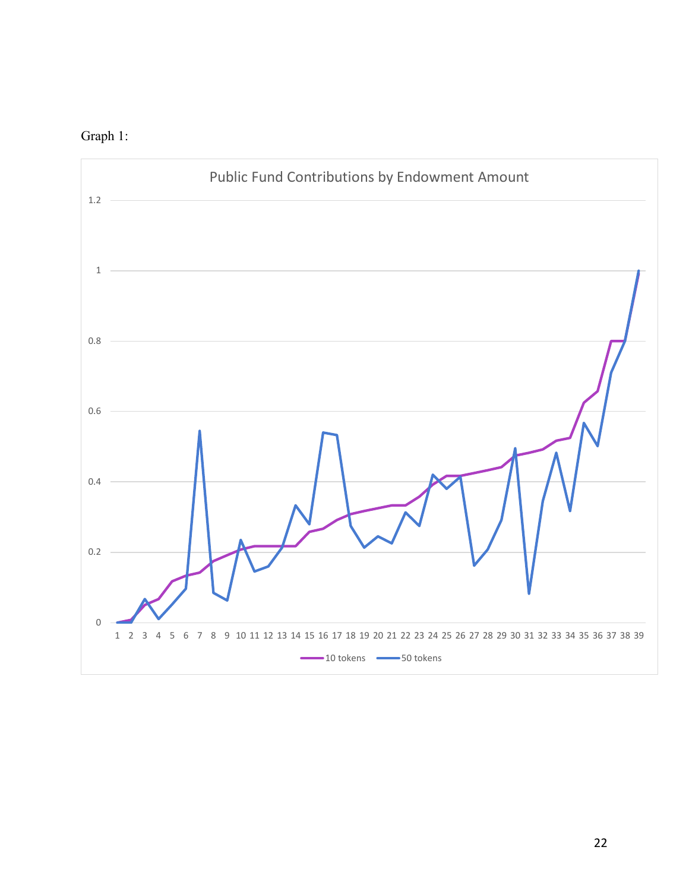

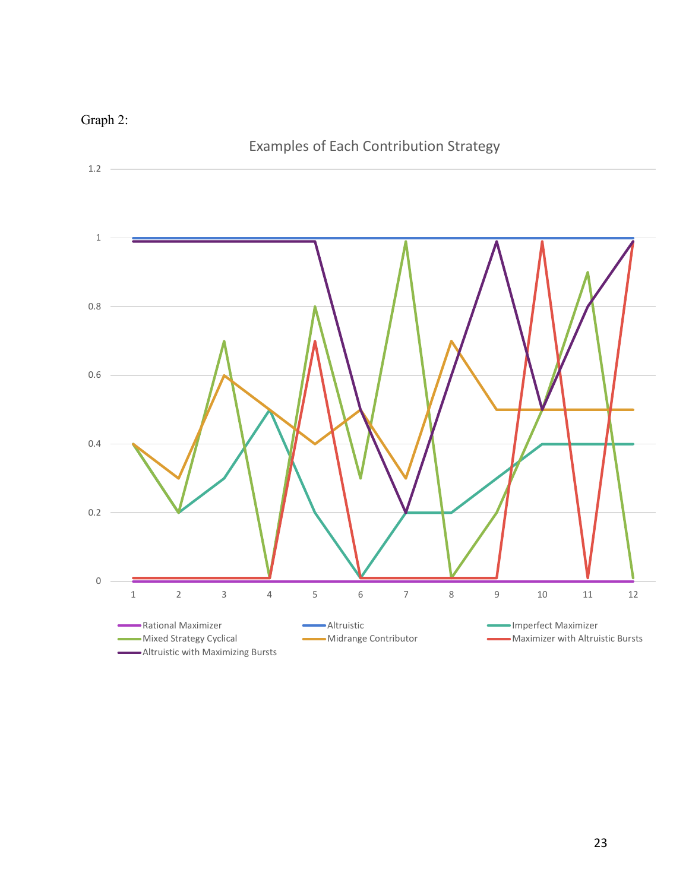

## Graph 2: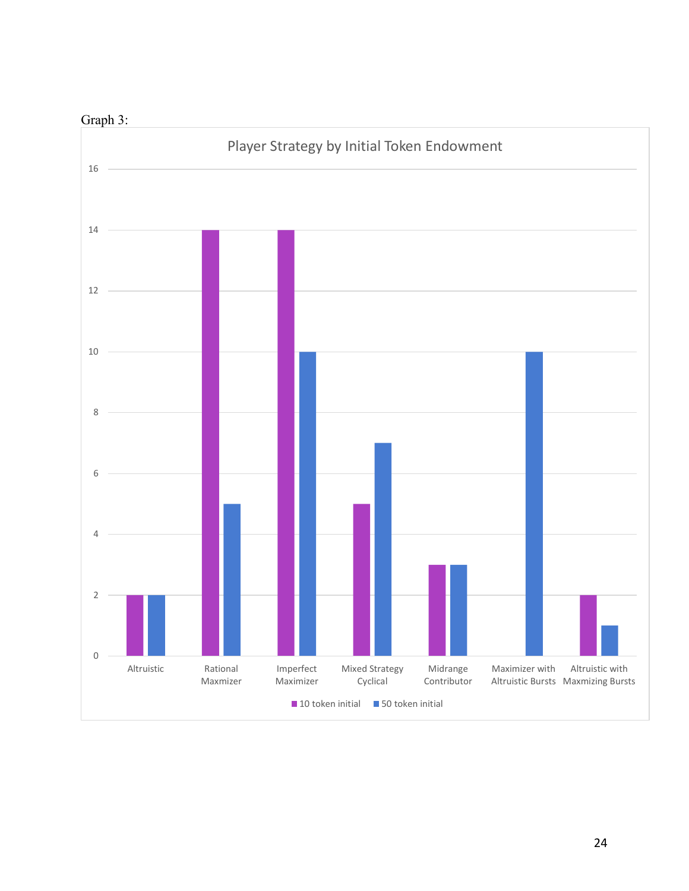

## Graph 3: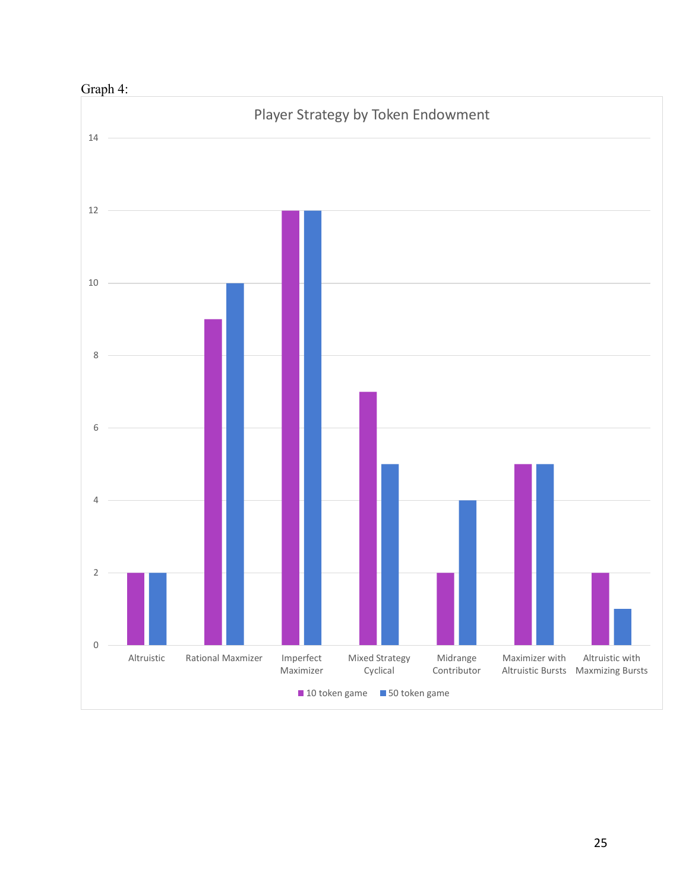

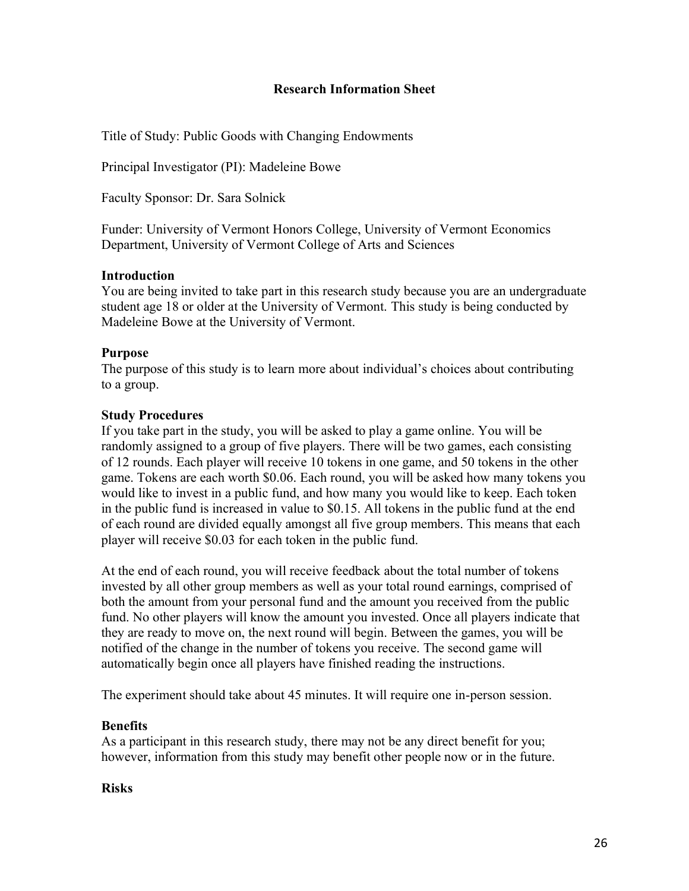#### **Research Information Sheet**

Title of Study: Public Goods with Changing Endowments

Principal Investigator (PI): Madeleine Bowe

Faculty Sponsor: Dr. Sara Solnick

Funder: University of Vermont Honors College, University of Vermont Economics Department, University of Vermont College of Arts and Sciences

#### **Introduction**

You are being invited to take part in this research study because you are an undergraduate student age 18 or older at the University of Vermont. This study is being conducted by Madeleine Bowe at the University of Vermont.

#### **Purpose**

The purpose of this study is to learn more about individual's choices about contributing to a group.

#### **Study Procedures**

If you take part in the study, you will be asked to play a game online. You will be randomly assigned to a group of five players. There will be two games, each consisting of 12 rounds. Each player will receive 10 tokens in one game, and 50 tokens in the other game. Tokens are each worth \$0.06. Each round, you will be asked how many tokens you would like to invest in a public fund, and how many you would like to keep. Each token in the public fund is increased in value to \$0.15. All tokens in the public fund at the end of each round are divided equally amongst all five group members. This means that each player will receive \$0.03 for each token in the public fund.

At the end of each round, you will receive feedback about the total number of tokens invested by all other group members as well as your total round earnings, comprised of both the amount from your personal fund and the amount you received from the public fund. No other players will know the amount you invested. Once all players indicate that they are ready to move on, the next round will begin. Between the games, you will be notified of the change in the number of tokens you receive. The second game will automatically begin once all players have finished reading the instructions.

The experiment should take about 45 minutes. It will require one in-person session.

#### **Benefits**

As a participant in this research study, there may not be any direct benefit for you; however, information from this study may benefit other people now or in the future.

#### **Risks**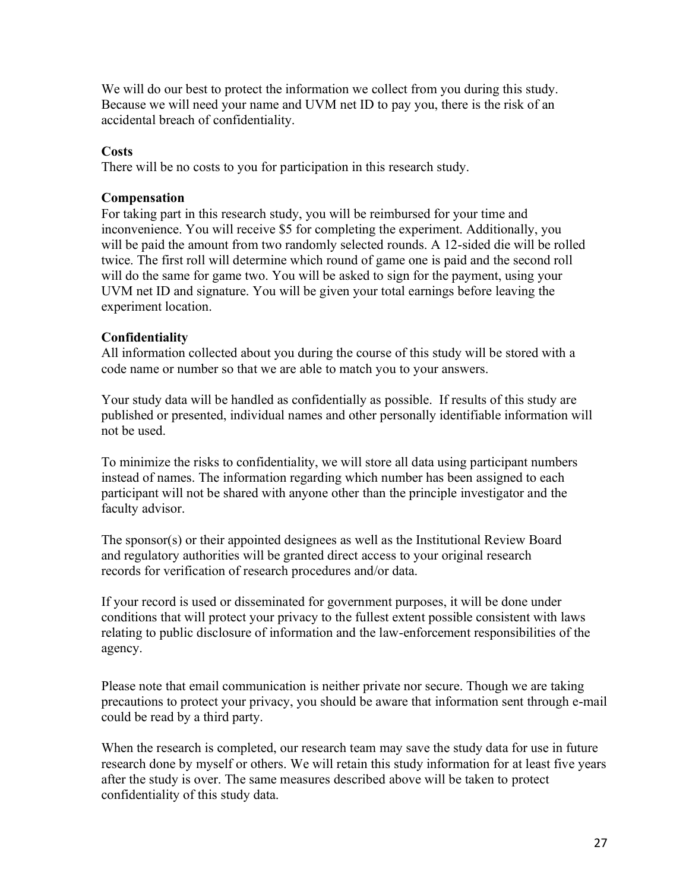We will do our best to protect the information we collect from you during this study. Because we will need your name and UVM net ID to pay you, there is the risk of an accidental breach of confidentiality.

#### **Costs**

There will be no costs to you for participation in this research study.

#### **Compensation**

For taking part in this research study, you will be reimbursed for your time and inconvenience. You will receive \$5 for completing the experiment. Additionally, you will be paid the amount from two randomly selected rounds. A 12-sided die will be rolled twice. The first roll will determine which round of game one is paid and the second roll will do the same for game two. You will be asked to sign for the payment, using your UVM net ID and signature. You will be given your total earnings before leaving the experiment location.

#### **Confidentiality**

All information collected about you during the course of this study will be stored with a code name or number so that we are able to match you to your answers.

Your study data will be handled as confidentially as possible. If results of this study are published or presented, individual names and other personally identifiable information will not be used.

To minimize the risks to confidentiality, we will store all data using participant numbers instead of names. The information regarding which number has been assigned to each participant will not be shared with anyone other than the principle investigator and the faculty advisor.

The sponsor(s) or their appointed designees as well as the Institutional Review Board and regulatory authorities will be granted direct access to your original research records for verification of research procedures and/or data.

If your record is used or disseminated for government purposes, it will be done under conditions that will protect your privacy to the fullest extent possible consistent with laws relating to public disclosure of information and the law-enforcement responsibilities of the agency.

Please note that email communication is neither private nor secure. Though we are taking precautions to protect your privacy, you should be aware that information sent through e-mail could be read by a third party.

When the research is completed, our research team may save the study data for use in future research done by myself or others. We will retain this study information for at least five years after the study is over. The same measures described above will be taken to protect confidentiality of this study data.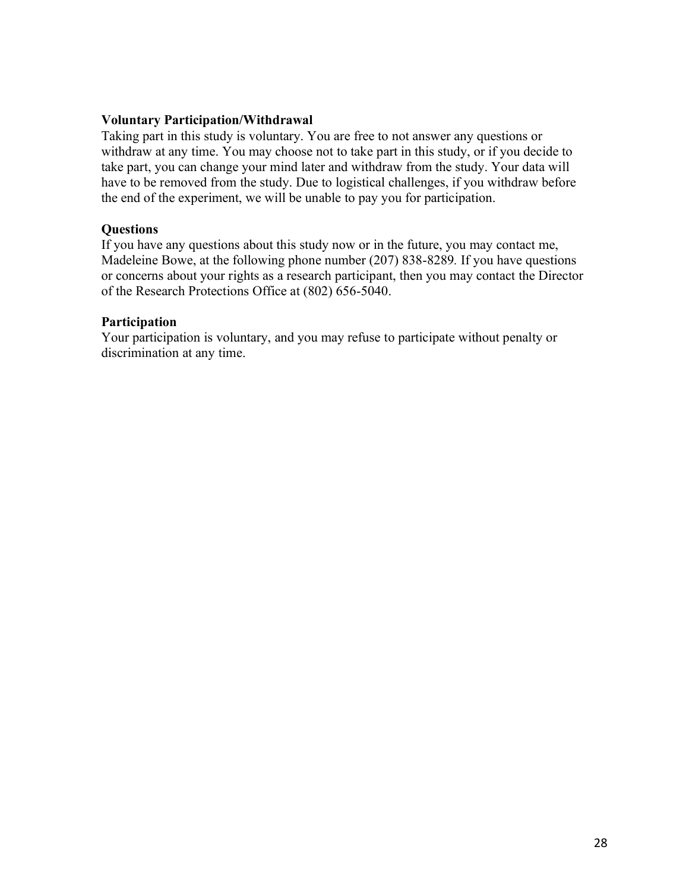#### **Voluntary Participation/Withdrawal**

Taking part in this study is voluntary. You are free to not answer any questions or withdraw at any time. You may choose not to take part in this study, or if you decide to take part, you can change your mind later and withdraw from the study. Your data will have to be removed from the study. Due to logistical challenges, if you withdraw before the end of the experiment, we will be unable to pay you for participation.

#### **Questions**

If you have any questions about this study now or in the future, you may contact me, Madeleine Bowe, at the following phone number (207) 838-8289*.* If you have questions or concerns about your rights as a research participant, then you may contact the Director of the Research Protections Office at (802) 656-5040.

#### **Participation**

Your participation is voluntary, and you may refuse to participate without penalty or discrimination at any time.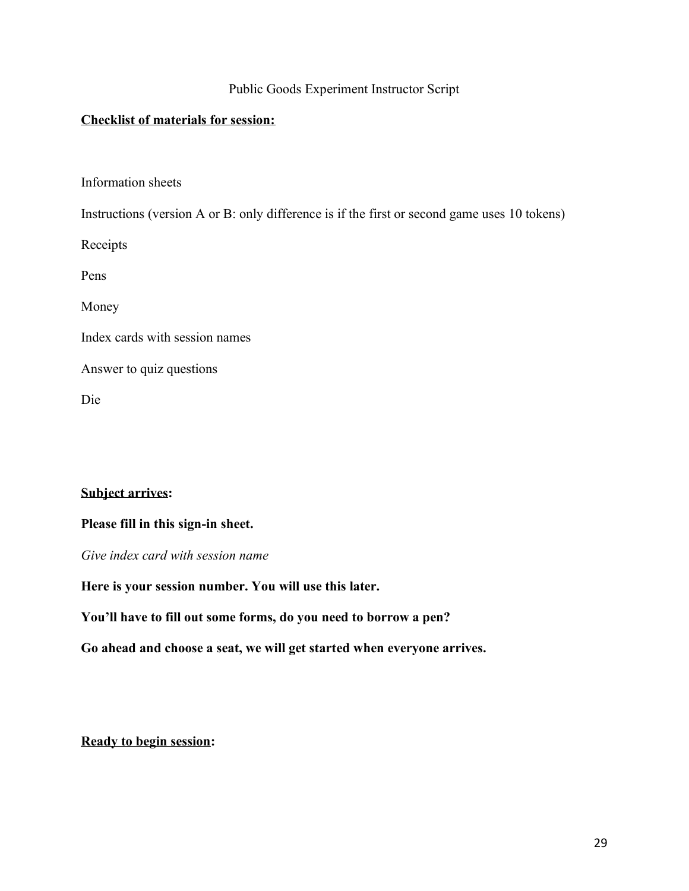#### Public Goods Experiment Instructor Script

#### **Checklist of materials for session:**

Information sheets

Instructions (version A or B: only difference is if the first or second game uses 10 tokens)

Receipts

Pens

Money

Index cards with session names

Answer to quiz questions

Die

#### **Subject arrives:**

#### **Please fill in this sign-in sheet.**

*Give index card with session name* 

**Here is your session number. You will use this later.**

**You'll have to fill out some forms, do you need to borrow a pen?**

**Go ahead and choose a seat, we will get started when everyone arrives.** 

**Ready to begin session:**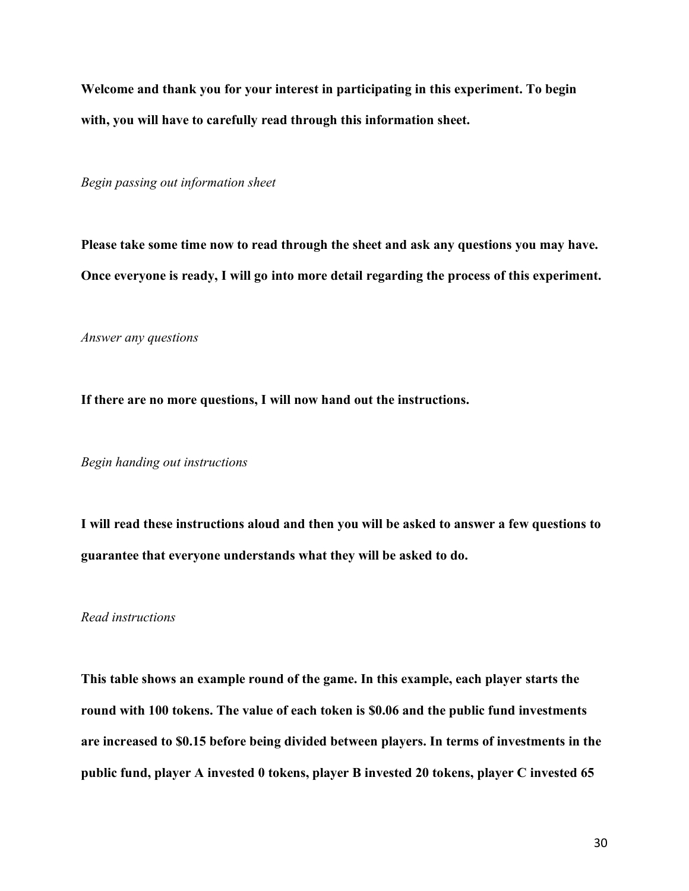**Welcome and thank you for your interest in participating in this experiment. To begin with, you will have to carefully read through this information sheet.** 

*Begin passing out information sheet* 

**Please take some time now to read through the sheet and ask any questions you may have. Once everyone is ready, I will go into more detail regarding the process of this experiment.** 

*Answer any questions*

**If there are no more questions, I will now hand out the instructions.** 

*Begin handing out instructions*

**I will read these instructions aloud and then you will be asked to answer a few questions to guarantee that everyone understands what they will be asked to do.** 

*Read instructions*

**This table shows an example round of the game. In this example, each player starts the round with 100 tokens. The value of each token is \$0.06 and the public fund investments are increased to \$0.15 before being divided between players. In terms of investments in the public fund, player A invested 0 tokens, player B invested 20 tokens, player C invested 65**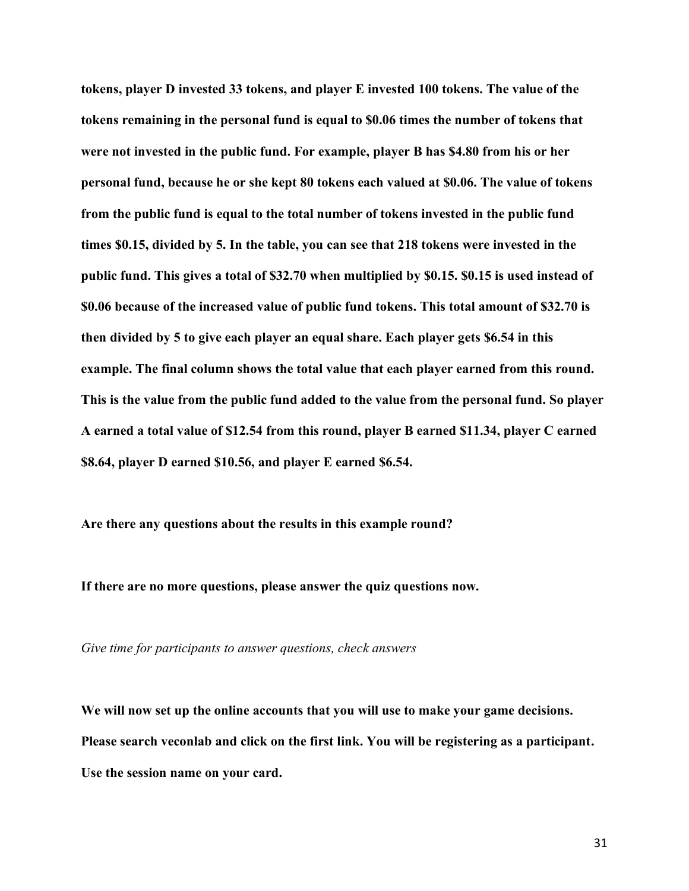**tokens, player D invested 33 tokens, and player E invested 100 tokens. The value of the tokens remaining in the personal fund is equal to \$0.06 times the number of tokens that were not invested in the public fund. For example, player B has \$4.80 from his or her personal fund, because he or she kept 80 tokens each valued at \$0.06. The value of tokens from the public fund is equal to the total number of tokens invested in the public fund times \$0.15, divided by 5. In the table, you can see that 218 tokens were invested in the public fund. This gives a total of \$32.70 when multiplied by \$0.15. \$0.15 is used instead of \$0.06 because of the increased value of public fund tokens. This total amount of \$32.70 is then divided by 5 to give each player an equal share. Each player gets \$6.54 in this example. The final column shows the total value that each player earned from this round. This is the value from the public fund added to the value from the personal fund. So player A earned a total value of \$12.54 from this round, player B earned \$11.34, player C earned \$8.64, player D earned \$10.56, and player E earned \$6.54.** 

**Are there any questions about the results in this example round?**

**If there are no more questions, please answer the quiz questions now.** 

*Give time for participants to answer questions, check answers*

**We will now set up the online accounts that you will use to make your game decisions. Please search veconlab and click on the first link. You will be registering as a participant. Use the session name on your card.**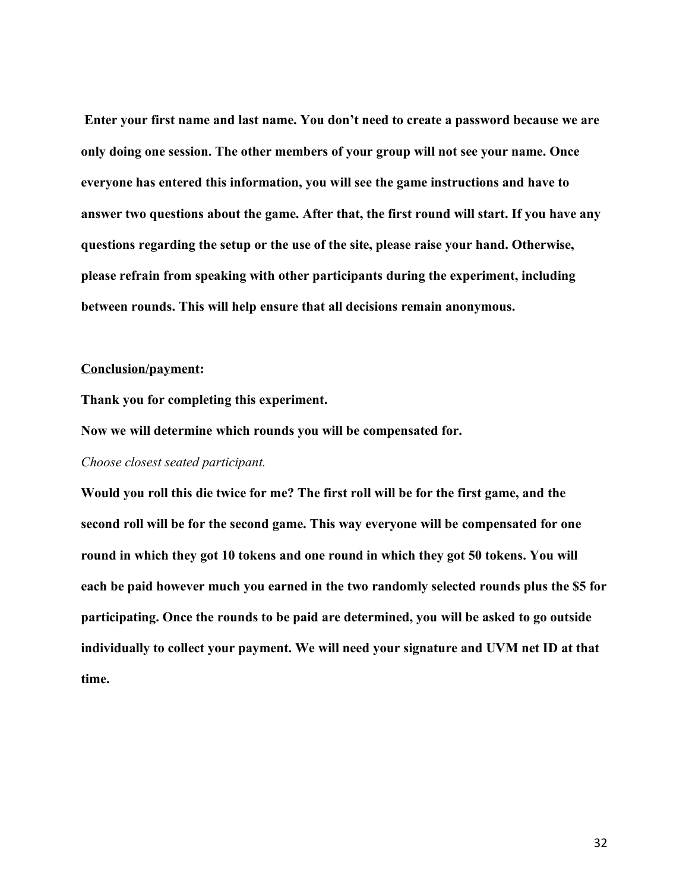**Enter your first name and last name. You don't need to create a password because we are only doing one session. The other members of your group will not see your name. Once everyone has entered this information, you will see the game instructions and have to answer two questions about the game. After that, the first round will start. If you have any questions regarding the setup or the use of the site, please raise your hand. Otherwise, please refrain from speaking with other participants during the experiment, including between rounds. This will help ensure that all decisions remain anonymous.** 

#### **Conclusion/payment:**

**Thank you for completing this experiment.**

**Now we will determine which rounds you will be compensated for.** 

#### *Choose closest seated participant.*

**Would you roll this die twice for me? The first roll will be for the first game, and the second roll will be for the second game. This way everyone will be compensated for one round in which they got 10 tokens and one round in which they got 50 tokens. You will each be paid however much you earned in the two randomly selected rounds plus the \$5 for participating. Once the rounds to be paid are determined, you will be asked to go outside individually to collect your payment. We will need your signature and UVM net ID at that time.**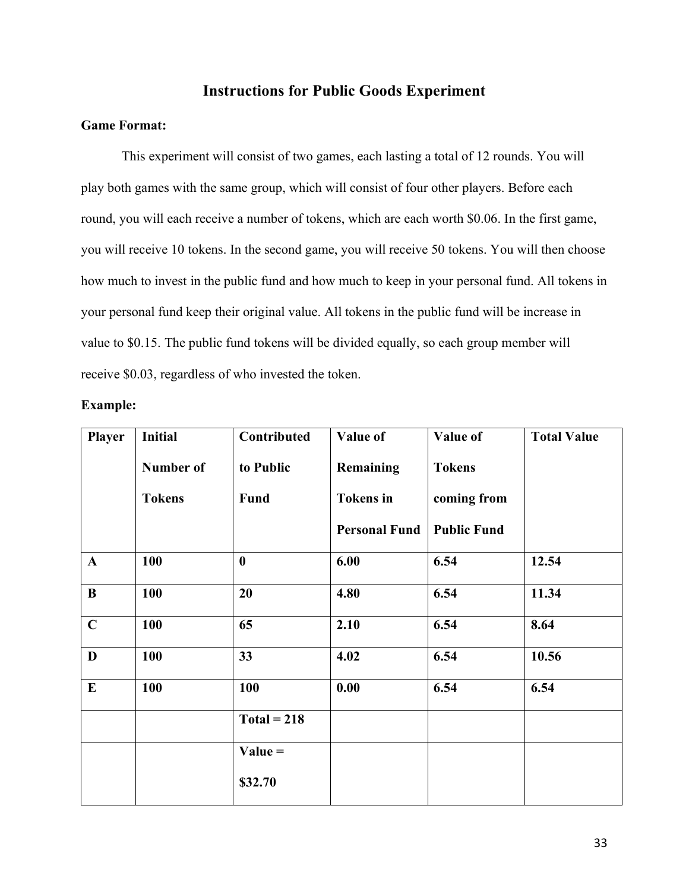#### **Instructions for Public Goods Experiment**

#### **Game Format:**

This experiment will consist of two games, each lasting a total of 12 rounds. You will play both games with the same group, which will consist of four other players. Before each round, you will each receive a number of tokens, which are each worth \$0.06. In the first game, you will receive 10 tokens. In the second game, you will receive 50 tokens. You will then choose how much to invest in the public fund and how much to keep in your personal fund. All tokens in your personal fund keep their original value. All tokens in the public fund will be increase in value to \$0.15. The public fund tokens will be divided equally, so each group member will receive \$0.03, regardless of who invested the token.

| <b>Example:</b> |  |
|-----------------|--|
|-----------------|--|

| <b>Player</b> | <b>Initial</b>   | Contributed   | Value of             | Value of           | <b>Total Value</b> |
|---------------|------------------|---------------|----------------------|--------------------|--------------------|
|               | <b>Number of</b> | to Public     | Remaining            | <b>Tokens</b>      |                    |
|               | <b>Tokens</b>    | <b>Fund</b>   | <b>Tokens</b> in     | coming from        |                    |
|               |                  |               | <b>Personal Fund</b> | <b>Public Fund</b> |                    |
| $\mathbf{A}$  | 100              | $\bf{0}$      | 6.00                 | 6.54               | 12.54              |
| $\bf{B}$      | 100              | 20            | 4.80                 | 6.54               | 11.34              |
| $\mathbf C$   | 100              | 65            | 2.10                 | 6.54               | 8.64               |
| $\mathbf D$   | 100              | 33            | 4.02                 | 6.54               | 10.56              |
| $\bf{E}$      | 100              | 100           | 0.00                 | 6.54               | 6.54               |
|               |                  | $Total = 218$ |                      |                    |                    |
|               |                  | $Value =$     |                      |                    |                    |
|               |                  | \$32.70       |                      |                    |                    |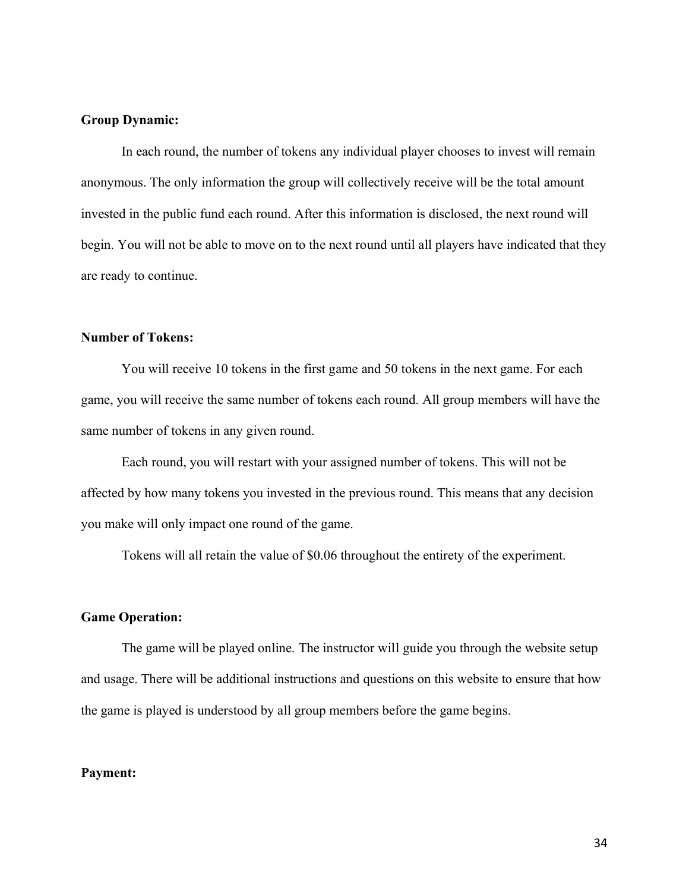#### **Group Dynamic:**

In each round, the number of tokens any individual player chooses to invest will remain anonymous. The only information the group will collectively receive will be the total amount invested in the public fund each round. After this information is disclosed, the next round will begin. You will not be able to move on to the next round until all players have indicated that they are ready to continue.

#### **Number of Tokens:**

You will receive 10 tokens in the first game and 50 tokens in the next game. For each game, you will receive the same number of tokens each round. All group members will have the same number of tokens in any given round.

Each round, you will restart with your assigned number of tokens. This will not be affected by how many tokens you invested in the previous round. This means that any decision you make will only impact one round of the game.

Tokens will all retain the value of \$0.06 throughout the entirety of the experiment.

#### **Game Operation:**

The game will be played online. The instructor will guide you through the website setup and usage. There will be additional instructions and questions on this website to ensure that how the game is played is understood by all group members before the game begins.

#### **Payment:**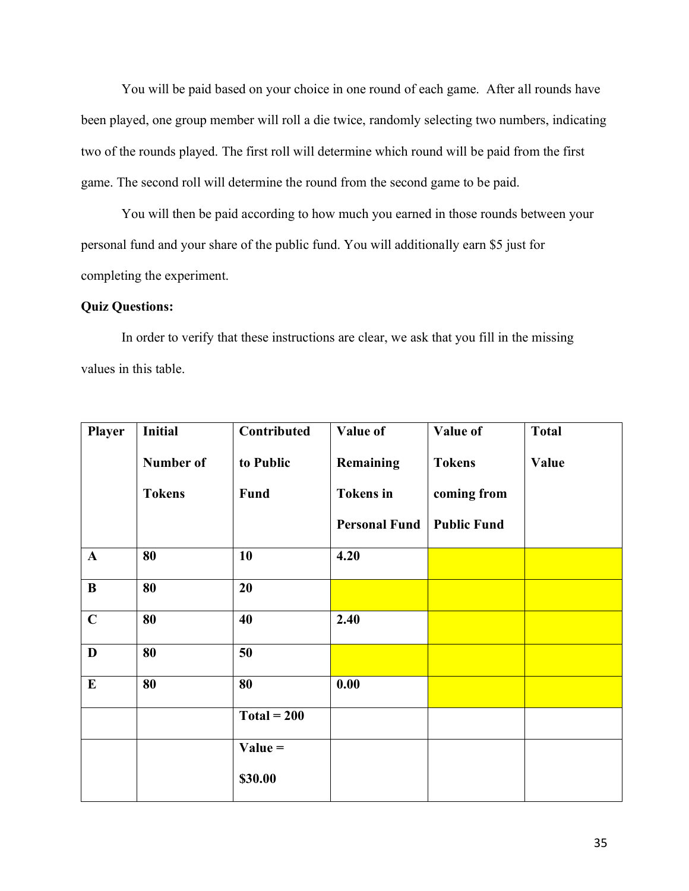You will be paid based on your choice in one round of each game. After all rounds have been played, one group member will roll a die twice, randomly selecting two numbers, indicating two of the rounds played. The first roll will determine which round will be paid from the first game. The second roll will determine the round from the second game to be paid.

You will then be paid according to how much you earned in those rounds between your personal fund and your share of the public fund. You will additionally earn \$5 just for completing the experiment.

#### **Quiz Questions:**

In order to verify that these instructions are clear, we ask that you fill in the missing values in this table.

| <b>Player</b> | <b>Initial</b> | Contributed   | Value of             | Value of           | <b>Total</b> |
|---------------|----------------|---------------|----------------------|--------------------|--------------|
|               | Number of      | to Public     | Remaining            | <b>Tokens</b>      | Value        |
|               | <b>Tokens</b>  | Fund          | <b>Tokens</b> in     | coming from        |              |
|               |                |               | <b>Personal Fund</b> | <b>Public Fund</b> |              |
| $\mathbf{A}$  | 80             | 10            | 4.20                 |                    |              |
| $\bf{B}$      | 80             | 20            |                      |                    |              |
| $\mathbf C$   | 80             | 40            | 2.40                 |                    |              |
| D             | 80             | 50            |                      |                    |              |
| $\bf{E}$      | 80             | 80            | 0.00                 |                    |              |
|               |                | $Total = 200$ |                      |                    |              |
|               |                | $Value =$     |                      |                    |              |
|               |                | \$30.00       |                      |                    |              |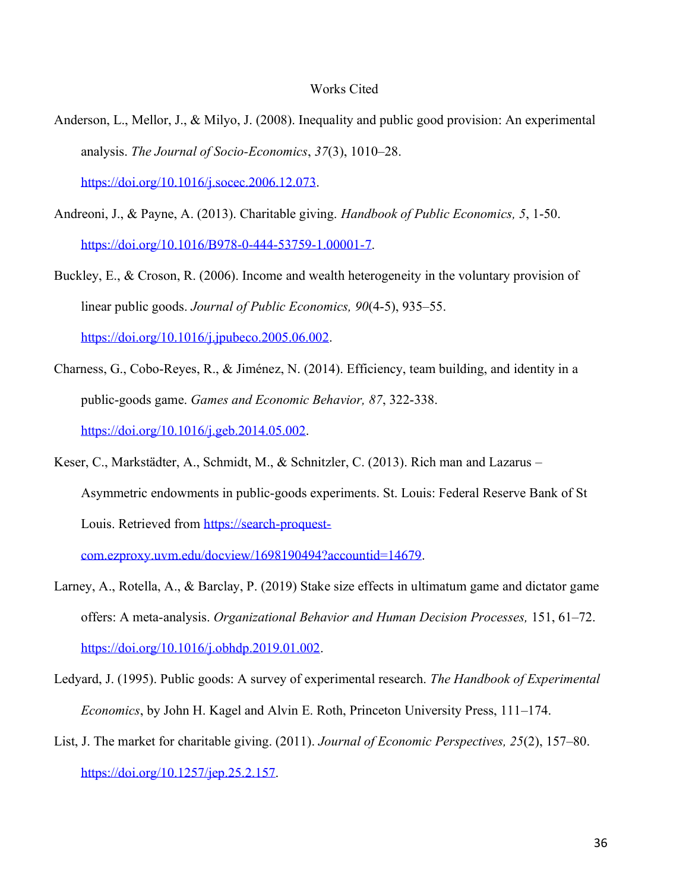#### Works Cited

- Anderson, L., Mellor, J., & Milyo, J. (2008). Inequality and public good provision: An experimental analysis. *The Journal of Socio-Economics*, *37*(3), 1010–28. [https://doi.org/10.1016/j.socec.2006.12.073.](https://doi.org/10.1016/j.socec.2006.12.073)
- Andreoni, J., & Payne, A. (2013). Charitable giving. *Handbook of Public Economics, 5*, 1-50. [https://doi.org/10.1016/B978-0-444-53759-1.00001-7.](https://doi.org/10.1016/B978-0-444-53759-1.00001-7)
- Buckley, E., & Croson, R. (2006). Income and wealth heterogeneity in the voluntary provision of linear public goods. *Journal of Public Economics, 90*(4-5), 935–55. [https://doi.org/10.1016/j.jpubeco.2005.06.002.](https://doi.org/10.1016/j.jpubeco.2005.06.002)
- Charness, G., Cobo-Reyes, R., & Jiménez, N. (2014). Efficiency, team building, and identity in a public-goods game. *Games and Economic Behavior, 87*, 322-338. [https://doi.org/10.1016/j.geb.2014.05.002.](https://doi.org/10.1016/j.geb.2014.05.002)
- Keser, C., Markstädter, A., Schmidt, M., & Schnitzler, C. (2013). Rich man and Lazarus Asymmetric endowments in public-goods experiments. St. Louis: Federal Reserve Bank of St Louis. Retrieved from [https://search-proquest-](https://search-proquest-com.ezproxy.uvm.edu/docview/1698190494?accountid=14679)

[com.ezproxy.uvm.edu/docview/1698190494?accountid=14679.](https://search-proquest-com.ezproxy.uvm.edu/docview/1698190494?accountid=14679)

- Larney, A., Rotella, A., & Barclay, P. (2019) Stake size effects in ultimatum game and dictator game offers: A meta-analysis. *Organizational Behavior and Human Decision Processes,* 151, 61–72. [https://doi.org/10.1016/j.obhdp.2019.01.002.](https://doi.org/10.1016/j.obhdp.2019.01.002)
- Ledyard, J. (1995). Public goods: A survey of experimental research. *The Handbook of Experimental Economics*, by John H. Kagel and Alvin E. Roth, Princeton University Press, 111–174.
- List, J. The market for charitable giving. (2011). *Journal of Economic Perspectives, 25*(2), 157–80. [https://doi.org/10.1257/jep.25.2.157.](https://doi.org/10.1257/jep.25.2.157)